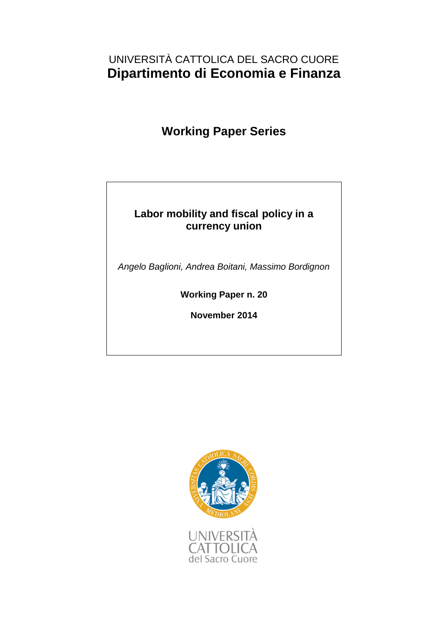## UNIVERSITÀ CATTOLICA DEL SACRO CUORE **Dipartimento di Economia e Finanza**

# **Working Paper Series**

### **Labor mobility and fiscal policy in a currency union**

*Angelo Baglioni, Andrea Boitani, Massimo Bordignon*

**Working Paper n. 20**

**November 2014**

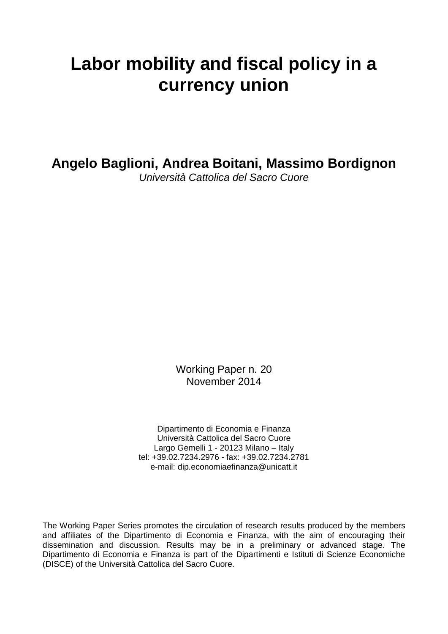# **Labor mobility and fiscal policy in a currency union**

**Angelo Baglioni, Andrea Boitani, Massimo Bordignon**

*Università Cattolica del Sacro Cuore*

Working Paper n. 20 November 2014

Dipartimento di Economia e Finanza Università Cattolica del Sacro Cuore Largo Gemelli 1 - 20123 Milano – Italy tel: +39.02.7234.2976 - fax: +39.02.7234.2781 e-mail: dip.economiaefinanza@unicatt.it

The Working Paper Series promotes the circulation of research results produced by the members and affiliates of the Dipartimento di Economia e Finanza, with the aim of encouraging their dissemination and discussion. Results may be in a preliminary or advanced stage. The Dipartimento di Economia e Finanza is part of the Dipartimenti e Istituti di Scienze Economiche (DISCE) of the Università Cattolica del Sacro Cuore.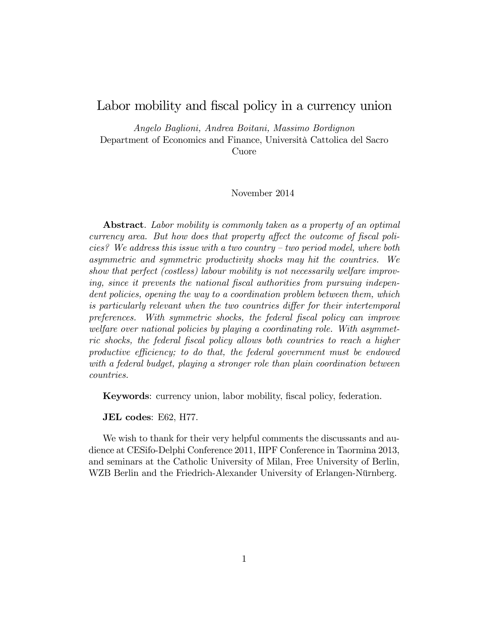### Labor mobility and fiscal policy in a currency union

Angelo Baglioni, Andrea Boitani, Massimo Bordignon Department of Economics and Finance, Università Cattolica del Sacro Cuore

#### November 2014

Abstract. Labor mobility is commonly taken as a property of an optimal currency area. But how does that property affect the outcome of fiscal policies? We address this issue with a two country  $-$  two period model, where both asymmetric and symmetric productivity shocks may hit the countries. We show that perfect (costless) labour mobility is not necessarily welfare improving, since it prevents the national fiscal authorities from pursuing independent policies, opening the way to a coordination problem between them, which is particularly relevant when the two countries differ for their intertemporal preferences. With symmetric shocks, the federal fiscal policy can improve welfare over national policies by playing a coordinating role. With asymmetric shocks, the federal Öscal policy allows both countries to reach a higher productive efficiency; to do that, the federal government must be endowed with a federal budget, playing a stronger role than plain coordination between countries.

Keywords: currency union, labor mobility, fiscal policy, federation.

JEL codes: E62, H77.

We wish to thank for their very helpful comments the discussants and audience at CESifo-Delphi Conference 2011, IIPF Conference in Taormina 2013, and seminars at the Catholic University of Milan, Free University of Berlin, WZB Berlin and the Friedrich-Alexander University of Erlangen-Nürnberg.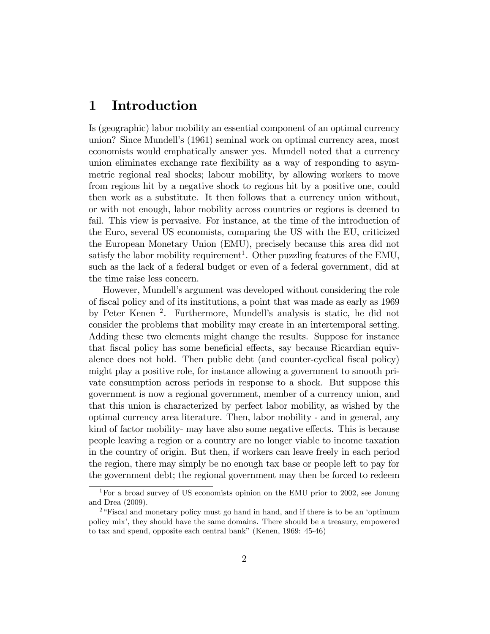### 1 Introduction

Is (geographic) labor mobility an essential component of an optimal currency union? Since Mundellís (1961) seminal work on optimal currency area, most economists would emphatically answer yes. Mundell noted that a currency union eliminates exchange rate flexibility as a way of responding to asymmetric regional real shocks; labour mobility, by allowing workers to move from regions hit by a negative shock to regions hit by a positive one, could then work as a substitute. It then follows that a currency union without, or with not enough, labor mobility across countries or regions is deemed to fail. This view is pervasive. For instance, at the time of the introduction of the Euro, several US economists, comparing the US with the EU, criticized the European Monetary Union (EMU), precisely because this area did not satisfy the labor mobility requirement<sup>1</sup>. Other puzzling features of the EMU, such as the lack of a federal budget or even of a federal government, did at the time raise less concern.

However, Mundell's argument was developed without considering the role of Öscal policy and of its institutions, a point that was made as early as 1969 by Peter Kenen<sup>2</sup>. Furthermore, Mundell's analysis is static, he did not consider the problems that mobility may create in an intertemporal setting. Adding these two elements might change the results. Suppose for instance that fiscal policy has some beneficial effects, say because Ricardian equivalence does not hold. Then public debt (and counter-cyclical fiscal policy) might play a positive role, for instance allowing a government to smooth private consumption across periods in response to a shock. But suppose this government is now a regional government, member of a currency union, and that this union is characterized by perfect labor mobility, as wished by the optimal currency area literature. Then, labor mobility - and in general, any kind of factor mobility- may have also some negative effects. This is because people leaving a region or a country are no longer viable to income taxation in the country of origin. But then, if workers can leave freely in each period the region, there may simply be no enough tax base or people left to pay for the government debt; the regional government may then be forced to redeem

<sup>&</sup>lt;sup>1</sup>For a broad survey of US economists opinion on the EMU prior to 2002, see Jonung and Drea (2009).

<sup>&</sup>lt;sup>2</sup> Fiscal and monetary policy must go hand in hand, and if there is to be an 'optimum' policy mixí, they should have the same domains. There should be a treasury, empowered to tax and spend, opposite each central bank" (Kenen, 1969: 45-46)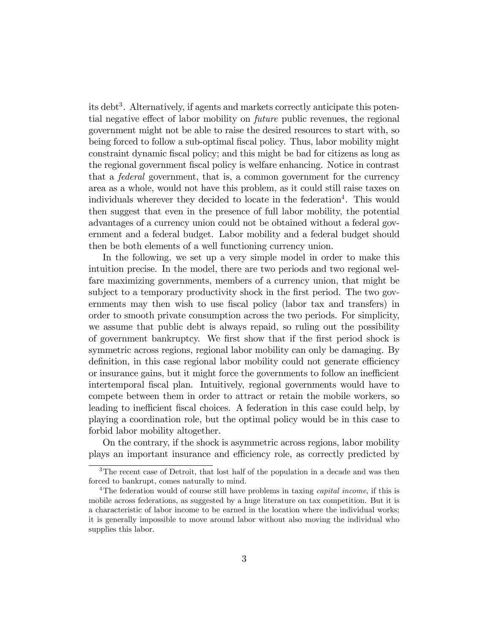its debt<sup>3</sup>. Alternatively, if agents and markets correctly anticipate this potential negative effect of labor mobility on *future* public revenues, the regional government might not be able to raise the desired resources to start with, so being forced to follow a sub-optimal Öscal policy. Thus, labor mobility might constraint dynamic Öscal policy; and this might be bad for citizens as long as the regional government Öscal policy is welfare enhancing. Notice in contrast that a federal government, that is, a common government for the currency area as a whole, would not have this problem, as it could still raise taxes on individuals wherever they decided to locate in the federation<sup>4</sup>. This would then suggest that even in the presence of full labor mobility, the potential advantages of a currency union could not be obtained without a federal government and a federal budget. Labor mobility and a federal budget should then be both elements of a well functioning currency union.

In the following, we set up a very simple model in order to make this intuition precise. In the model, there are two periods and two regional welfare maximizing governments, members of a currency union, that might be subject to a temporary productivity shock in the first period. The two governments may then wish to use fiscal policy (labor tax and transfers) in order to smooth private consumption across the two periods. For simplicity, we assume that public debt is always repaid, so ruling out the possibility of government bankruptcy. We first show that if the first period shock is symmetric across regions, regional labor mobility can only be damaging. By definition, in this case regional labor mobility could not generate efficiency or insurance gains, but it might force the governments to follow an inefficient intertemporal Öscal plan. Intuitively, regional governments would have to compete between them in order to attract or retain the mobile workers, so leading to inefficient fiscal choices. A federation in this case could help, by playing a coordination role, but the optimal policy would be in this case to forbid labor mobility altogether.

On the contrary, if the shock is asymmetric across regions, labor mobility plays an important insurance and efficiency role, as correctly predicted by

<sup>&</sup>lt;sup>3</sup>The recent case of Detroit, that lost half of the population in a decade and was then forced to bankrupt, comes naturally to mind.

<sup>&</sup>lt;sup>4</sup>The federation would of course still have problems in taxing *capital income*, if this is mobile across federations, as suggested by a huge literature on tax competition. But it is a characteristic of labor income to be earned in the location where the individual works; it is generally impossible to move around labor without also moving the individual who supplies this labor.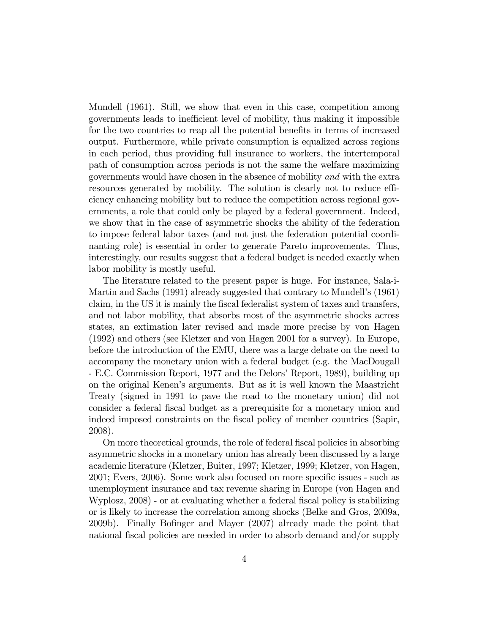Mundell (1961). Still, we show that even in this case, competition among governments leads to inefficient level of mobility, thus making it impossible for the two countries to reap all the potential benefits in terms of increased output. Furthermore, while private consumption is equalized across regions in each period, thus providing full insurance to workers, the intertemporal path of consumption across periods is not the same the welfare maximizing governments would have chosen in the absence of mobility and with the extra resources generated by mobility. The solution is clearly not to reduce efficiency enhancing mobility but to reduce the competition across regional governments, a role that could only be played by a federal government. Indeed, we show that in the case of asymmetric shocks the ability of the federation to impose federal labor taxes (and not just the federation potential coordinanting role) is essential in order to generate Pareto improvements. Thus, interestingly, our results suggest that a federal budget is needed exactly when labor mobility is mostly useful.

The literature related to the present paper is huge. For instance, Sala-i-Martin and Sachs (1991) already suggested that contrary to Mundellís (1961) claim, in the US it is mainly the Öscal federalist system of taxes and transfers, and not labor mobility, that absorbs most of the asymmetric shocks across states, an extimation later revised and made more precise by von Hagen (1992) and others (see Kletzer and von Hagen 2001 for a survey). In Europe, before the introduction of the EMU, there was a large debate on the need to accompany the monetary union with a federal budget (e.g. the MacDougall - E.C. Commission Report, 1977 and the Delors' Report, 1989), building up on the original Kenenís arguments. But as it is well known the Maastricht Treaty (signed in 1991 to pave the road to the monetary union) did not consider a federal Öscal budget as a prerequisite for a monetary union and indeed imposed constraints on the fiscal policy of member countries (Sapir, 2008).

On more theoretical grounds, the role of federal fiscal policies in absorbing asymmetric shocks in a monetary union has already been discussed by a large academic literature (Kletzer, Buiter, 1997; Kletzer, 1999; Kletzer, von Hagen, 2001; Evers, 2006). Some work also focused on more specific issues - such as unemployment insurance and tax revenue sharing in Europe (von Hagen and Wyplosz, 2008) - or at evaluating whether a federal fiscal policy is stabilizing or is likely to increase the correlation among shocks (Belke and Gros, 2009a, 2009b). Finally Bofinger and Mayer (2007) already made the point that national fiscal policies are needed in order to absorb demand and/or supply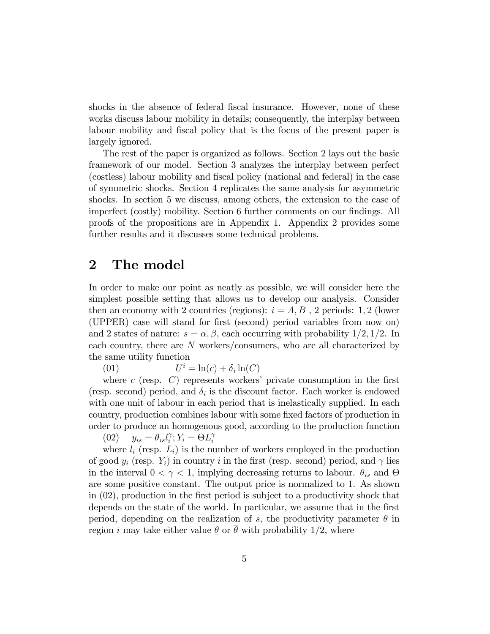shocks in the absence of federal fiscal insurance. However, none of these works discuss labour mobility in details; consequently, the interplay between labour mobility and fiscal policy that is the focus of the present paper is largely ignored.

The rest of the paper is organized as follows. Section 2 lays out the basic framework of our model. Section 3 analyzes the interplay between perfect (costless) labour mobility and fiscal policy (national and federal) in the case of symmetric shocks. Section 4 replicates the same analysis for asymmetric shocks. In section 5 we discuss, among others, the extension to the case of imperfect (costly) mobility. Section 6 further comments on our findings. All proofs of the propositions are in Appendix 1. Appendix 2 provides some further results and it discusses some technical problems.

### 2 The model

In order to make our point as neatly as possible, we will consider here the simplest possible setting that allows us to develop our analysis. Consider then an economy with 2 countries (regions):  $i = A, B$ , 2 periods: 1, 2 (lower (UPPER) case will stand for Örst (second) period variables from now on) and 2 states of nature:  $s = \alpha, \beta$ , each occurring with probability  $1/2, 1/2$ . In each country, there are N workers/consumers, who are all characterized by the same utility function

 $(01)$  $i = \ln(c) + \delta_i \ln(C)$ 

where  $c$  (resp.  $C$ ) represents workers' private consumption in the first (resp. second) period, and  $\delta_i$  is the discount factor. Each worker is endowed with one unit of labour in each period that is inelastically supplied. In each country, production combines labour with some fixed factors of production in order to produce an homogenous good, according to the production function

(02)  $y_{is} = \theta_{is}l_i^{\gamma}$  $i_i^{\gamma}$ ;  $Y_i = \Theta L_i^{\gamma}$ i

where  $l_i$  (resp.  $L_i$ ) is the number of workers employed in the production of good  $y_i$  (resp.  $Y_i$ ) in country i in the first (resp. second) period, and  $\gamma$  lies in the interval  $0 < \gamma < 1$ , implying decreasing returns to labour.  $\theta_{is}$  and  $\Theta$ are some positive constant. The output price is normalized to 1. As shown in  $(02)$ , production in the first period is subject to a productivity shock that depends on the state of the world. In particular, we assume that in the first period, depending on the realization of s, the productivity parameter  $\theta$  in region *i* may take either value  $\theta$  or  $\bar{\theta}$  with probability 1/2, where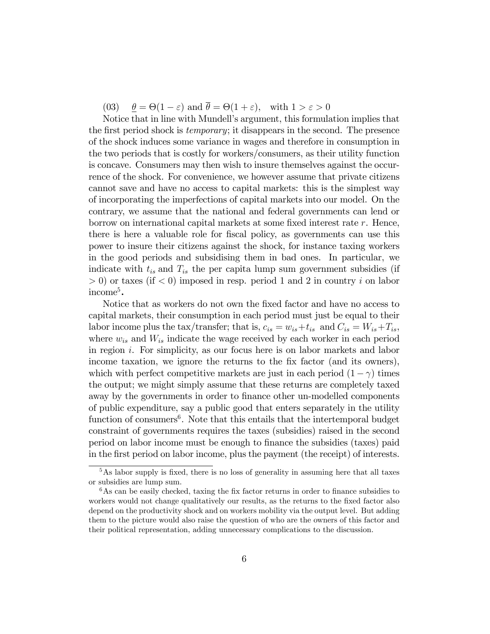(03)  $\theta = \Theta(1-\varepsilon)$  and  $\theta = \Theta(1+\varepsilon)$ , with  $1 > \varepsilon > 0$ 

Notice that in line with Mundell's argument, this formulation implies that the first period shock is *temporary*; it disappears in the second. The presence of the shock induces some variance in wages and therefore in consumption in the two periods that is costly for workers/consumers, as their utility function is concave. Consumers may then wish to insure themselves against the occurrence of the shock. For convenience, we however assume that private citizens cannot save and have no access to capital markets: this is the simplest way of incorporating the imperfections of capital markets into our model. On the contrary, we assume that the national and federal governments can lend or borrow on international capital markets at some fixed interest rate  $r$ . Hence, there is here a valuable role for Öscal policy, as governments can use this power to insure their citizens against the shock, for instance taxing workers in the good periods and subsidising them in bad ones. In particular, we indicate with  $t_{is}$  and  $T_{is}$  the per capita lump sum government subsidies (if  $> 0$ ) or taxes (if  $< 0$ ) imposed in resp. period 1 and 2 in country i on labor income<sup>5</sup>.

Notice that as workers do not own the Öxed factor and have no access to capital markets, their consumption in each period must just be equal to their labor income plus the tax/transfer; that is,  $c_{is} = w_{is} + t_{is}$  and  $C_{is} = W_{is} + T_{is}$ , where  $w_{is}$  and  $W_{is}$  indicate the wage received by each worker in each period in region i. For simplicity, as our focus here is on labor markets and labor income taxation, we ignore the returns to the fix factor (and its owners), which with perfect competitive markets are just in each period  $(1 - \gamma)$  times the output; we might simply assume that these returns are completely taxed away by the governments in order to finance other un-modelled components of public expenditure, say a public good that enters separately in the utility function of consumers<sup>6</sup>. Note that this entails that the intertemporal budget constraint of governments requires the taxes (subsidies) raised in the second period on labor income must be enough to Önance the subsidies (taxes) paid in the first period on labor income, plus the payment (the receipt) of interests.

 $5$ As labor supply is fixed, there is no loss of generality in assuming here that all taxes or subsidies are lump sum.

 $6$ As can be easily checked, taxing the fix factor returns in order to finance subsidies to workers would not change qualitatively our results, as the returns to the fixed factor also depend on the productivity shock and on workers mobility via the output level. But adding them to the picture would also raise the question of who are the owners of this factor and their political representation, adding unnecessary complications to the discussion.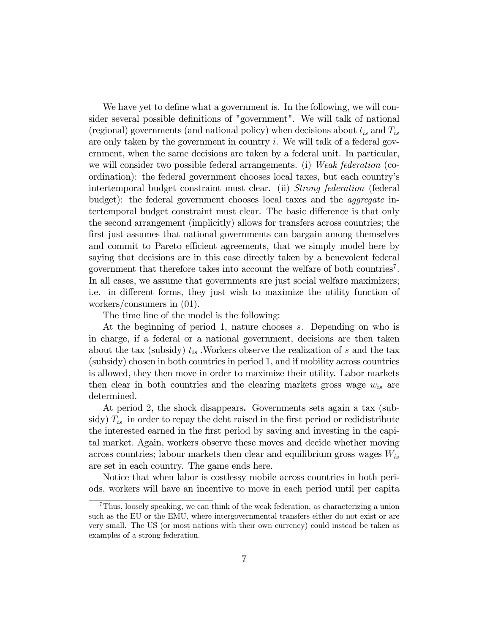We have yet to define what a government is. In the following, we will consider several possible definitions of "government". We will talk of national (regional) governments (and national policy) when decisions about  $t_{is}$  and  $T_{is}$ are only taken by the government in country  $i$ . We will talk of a federal government, when the same decisions are taken by a federal unit. In particular, we will consider two possible federal arrangements. (i) Weak federation (coordination): the federal government chooses local taxes, but each country's intertemporal budget constraint must clear. (ii) Strong federation (federal budget): the federal government chooses local taxes and the aggregate intertemporal budget constraint must clear. The basic difference is that only the second arrangement (implicitly) allows for transfers across countries; the first just assumes that national governments can bargain among themselves and commit to Pareto efficient agreements, that we simply model here by saying that decisions are in this case directly taken by a benevolent federal government that therefore takes into account the welfare of both countries<sup>7</sup> . In all cases, we assume that governments are just social welfare maximizers; i.e. in different forms, they just wish to maximize the utility function of workers/consumers in (01).

The time line of the model is the following:

At the beginning of period 1, nature chooses s. Depending on who is in charge, if a federal or a national government, decisions are then taken about the tax (subsidy)  $t_{is}$ . Workers observe the realization of s and the tax (subsidy) chosen in both countries in period 1, and if mobility across countries is allowed, they then move in order to maximize their utility. Labor markets then clear in both countries and the clearing markets gross wage  $w_{is}$  are determined.

At period 2, the shock disappears. Governments sets again a tax (subsidy)  $T_{is}$  in order to repay the debt raised in the first period or redidistribute the interested earned in the first period by saving and investing in the capital market: Again, workers observe these moves and decide whether moving across countries; labour markets then clear and equilibrium gross wages  $W_{is}$ are set in each country. The game ends here.

Notice that when labor is costlessy mobile across countries in both periods, workers will have an incentive to move in each period until per capita

<sup>7</sup>Thus, loosely speaking, we can think of the weak federation, as characterizing a union such as the EU or the EMU, where intergovernmental transfers either do not exist or are very small. The US (or most nations with their own currency) could instead be taken as examples of a strong federation.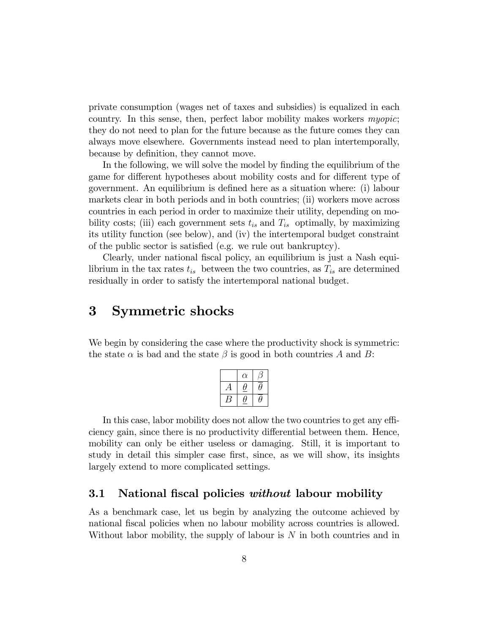private consumption (wages net of taxes and subsidies) is equalized in each country. In this sense, then, perfect labor mobility makes workers myopic; they do not need to plan for the future because as the future comes they can always move elsewhere. Governments instead need to plan intertemporally, because by definition, they cannot move.

In the following, we will solve the model by finding the equilibrium of the game for different hypotheses about mobility costs and for different type of government. An equilibrium is defined here as a situation where: (i) labour markets clear in both periods and in both countries; (ii) workers move across countries in each period in order to maximize their utility, depending on mobility costs; (iii) each government sets  $t_{is}$  and  $T_{is}$  optimally, by maximizing its utility function (see below), and (iv) the intertemporal budget constraint of the public sector is satisfied (e.g. we rule out bankruptcy).

Clearly, under national fiscal policy, an equilibrium is just a Nash equilibrium in the tax rates  $t_{is}$  between the two countries, as  $T_{is}$  are determined residually in order to satisfy the intertemporal national budget.

### 3 Symmetric shocks

We begin by considering the case where the productivity shock is symmetric: the state  $\alpha$  is bad and the state  $\beta$  is good in both countries A and B:

| $\alpha$ |  |
|----------|--|
|          |  |
|          |  |

In this case, labor mobility does not allow the two countries to get any efficiency gain, since there is no productivity differential between them. Hence, mobility can only be either useless or damaging. Still, it is important to study in detail this simpler case first, since, as we will show, its insights largely extend to more complicated settings.

#### 3.1 National fiscal policies without labour mobility

As a benchmark case, let us begin by analyzing the outcome achieved by national fiscal policies when no labour mobility across countries is allowed. Without labor mobility, the supply of labour is  $N$  in both countries and in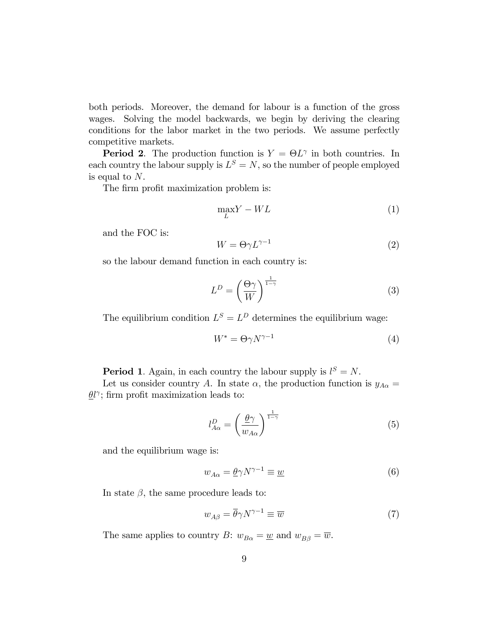both periods. Moreover, the demand for labour is a function of the gross wages. Solving the model backwards, we begin by deriving the clearing conditions for the labor market in the two periods. We assume perfectly competitive markets.

**Period 2**. The production function is  $Y = \Theta L^{\gamma}$  in both countries. In each country the labour supply is  $L^S = N$ , so the number of people employed is equal to N.

The firm profit maximization problem is:

$$
\max_{L} Y - WL \tag{1}
$$

and the FOC is:

$$
W = \Theta \gamma L^{\gamma - 1} \tag{2}
$$

so the labour demand function in each country is:

$$
L^D = \left(\frac{\Theta \gamma}{W}\right)^{\frac{1}{1-\gamma}}\tag{3}
$$

The equilibrium condition  $L^S = L^D$  determines the equilibrium wage:

$$
W^* = \Theta \gamma N^{\gamma - 1} \tag{4}
$$

**Period 1**. Again, in each country the labour supply is  $l^S = N$ .

Let us consider country A. In state  $\alpha$ , the production function is  $y_{A\alpha} =$  $\frac{\partial l}{\partial \theta}$ ; firm profit maximization leads to:

$$
l_{A\alpha}^D = \left(\frac{\underline{\theta}\gamma}{w_{A\alpha}}\right)^{\frac{1}{1-\gamma}}
$$
\n(5)

and the equilibrium wage is:

$$
w_{A\alpha} = \underline{\theta} \gamma N^{\gamma - 1} \equiv \underline{w} \tag{6}
$$

In state  $\beta$ , the same procedure leads to:

$$
w_{A\beta} = \overline{\theta}\gamma N^{\gamma - 1} \equiv \overline{w} \tag{7}
$$

The same applies to country B:  $w_{B\alpha} = \underline{w}$  and  $w_{B\beta} = \overline{w}$ .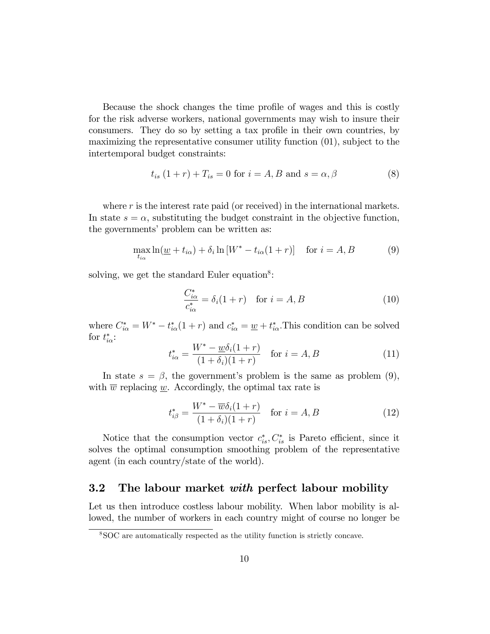Because the shock changes the time profile of wages and this is costly for the risk adverse workers, national governments may wish to insure their consumers. They do so by setting a tax profile in their own countries, by maximizing the representative consumer utility function (01), subject to the intertemporal budget constraints:

$$
t_{is}(1+r) + T_{is} = 0 \text{ for } i = A, B \text{ and } s = \alpha, \beta
$$
 (8)

where  $r$  is the interest rate paid (or received) in the international markets. In state  $s = \alpha$ , substituting the budget constraint in the objective function, the governments' problem can be written as:

$$
\max_{t_{i\alpha}} \ln(\underline{w} + t_{i\alpha}) + \delta_i \ln[W^* - t_{i\alpha}(1+r)] \quad \text{for } i = A, B \tag{9}
$$

solving, we get the standard Euler equation<sup>8</sup>:

$$
\frac{C_{i\alpha}^*}{c_{i\alpha}^*} = \delta_i(1+r) \quad \text{for } i = A, B \tag{10}
$$

where  $C_{i\alpha}^* = W^* - t_{i\alpha}^*(1+r)$  and  $c_{i\alpha}^* = \underline{w} + t_{i\alpha}^*$ . This condition can be solved for  $t_{i\alpha}^*$ :

$$
t_{i\alpha}^* = \frac{W^* - \underline{w}\delta_i(1+r)}{(1+\delta_i)(1+r)} \quad \text{for } i = A, B
$$
 (11)

In state  $s = \beta$ , the government's problem is the same as problem (9), with  $\overline{w}$  replacing w. Accordingly, the optimal tax rate is

$$
t_{i\beta}^* = \frac{W^* - \overline{w}\delta_i(1+r)}{(1+\delta_i)(1+r)} \quad \text{for } i = A, B
$$
 (12)

Notice that the consumption vector  $c_{is}^*$ ,  $C_{is}^*$  is Pareto efficient, since it solves the optimal consumption smoothing problem of the representative agent (in each country/state of the world).

#### **3.2** The labour market with perfect labour mobility

Let us then introduce costless labour mobility. When labor mobility is allowed, the number of workers in each country might of course no longer be

<sup>8</sup>SOC are automatically respected as the utility function is strictly concave.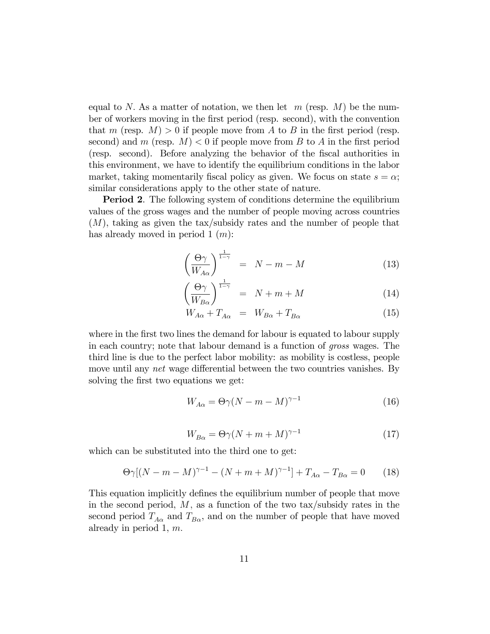equal to N. As a matter of notation, we then let  $m$  (resp. M) be the number of workers moving in the Örst period (resp. second), with the convention that m (resp.  $M > 0$  if people move from A to B in the first period (resp. second) and m (resp.  $M$ ) < 0 if people move from B to A in the first period (resp. second). Before analyzing the behavior of the Öscal authorities in this environment, we have to identify the equilibrium conditions in the labor market, taking momentarily fiscal policy as given. We focus on state  $s = \alpha$ ; similar considerations apply to the other state of nature.

Period 2. The following system of conditions determine the equilibrium values of the gross wages and the number of people moving across countries (M), taking as given the tax/subsidy rates and the number of people that has already moved in period  $1(m)$ :

$$
\left(\frac{\Theta \gamma}{W_{A\alpha}}\right)^{\frac{1}{1-\gamma}} = N - m - M \tag{13}
$$

$$
\left(\frac{\Theta \gamma}{W_{B\alpha}}\right)^{\frac{1}{1-\gamma}} = N + m + M \tag{14}
$$

$$
W_{A\alpha} + T_{A\alpha} = W_{B\alpha} + T_{B\alpha} \tag{15}
$$

where in the first two lines the demand for labour is equated to labour supply in each country; note that labour demand is a function of gross wages. The third line is due to the perfect labor mobility: as mobility is costless, people move until any *net* wage differential between the two countries vanishes. By solving the first two equations we get:

$$
W_{A\alpha} = \Theta \gamma (N - m - M)^{\gamma - 1} \tag{16}
$$

$$
W_{B\alpha} = \Theta \gamma (N + m + M)^{\gamma - 1} \tag{17}
$$

which can be substituted into the third one to get:

$$
\Theta \gamma [(N - m - M)^{\gamma - 1} - (N + m + M)^{\gamma - 1}] + T_{A\alpha} - T_{B\alpha} = 0 \tag{18}
$$

This equation implicitly defines the equilibrium number of people that move in the second period,  $M$ , as a function of the two tax/subsidy rates in the second period  $T_{A\alpha}$  and  $T_{B\alpha}$ , and on the number of people that have moved already in period 1,  $m$ .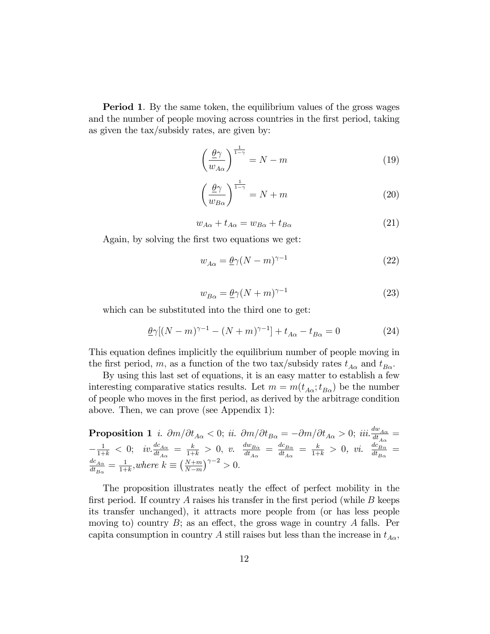**Period 1.** By the same token, the equilibrium values of the gross wages and the number of people moving across countries in the first period, taking as given the tax/subsidy rates, are given by:

$$
\left(\frac{\underline{\theta}\gamma}{w_{A\alpha}}\right)^{\frac{1}{1-\gamma}} = N - m \tag{19}
$$

$$
\left(\frac{\underline{\theta}\gamma}{w_{B\alpha}}\right)^{\frac{1}{1-\gamma}} = N+m\tag{20}
$$

$$
w_{A\alpha} + t_{A\alpha} = w_{B\alpha} + t_{B\alpha} \tag{21}
$$

Again, by solving the first two equations we get:

$$
w_{A\alpha} = \underline{\theta}\gamma (N - m)^{\gamma - 1} \tag{22}
$$

$$
w_{B\alpha} = \underline{\theta}\gamma (N+m)^{\gamma - 1} \tag{23}
$$

which can be substituted into the third one to get:

$$
\underline{\theta}\gamma[(N-m)^{\gamma-1} - (N+m)^{\gamma-1}] + t_{A\alpha} - t_{B\alpha} = 0 \tag{24}
$$

This equation defines implicitly the equilibrium number of people moving in the first period, m, as a function of the two tax/subsidy rates  $t_{A\alpha}$  and  $t_{B\alpha}$ .

By using this last set of equations, it is an easy matter to establish a few interesting comparative statics results. Let  $m = m(t_{A\alpha}; t_{B\alpha})$  be the number of people who moves in the Örst period, as derived by the arbitrage condition above. Then, we can prove (see Appendix 1):

**Proposition 1** *i.* 
$$
\partial m/\partial t_{A\alpha} < 0
$$
; *ii.*  $\partial m/\partial t_{B\alpha} = -\partial m/\partial t_{A\alpha} > 0$ ; *iii.*  $\frac{dw_{A\alpha}}{dt_{A\alpha}} = -\frac{1}{1+k} < 0$ ; *iv.*  $\frac{dc_{A\alpha}}{dt_{A\alpha}} = \frac{k}{1+k} > 0$ , *v.*  $\frac{dw_{B\alpha}}{dt_{A\alpha}} = \frac{dc_{B\alpha}}{dt_{A\alpha}} = \frac{k}{1+k} > 0$ , *vi.*  $\frac{dc_{B\alpha}}{dt_{B\alpha}} = \frac{dc_{A\alpha}}{1+k}$ , where  $k \equiv \left(\frac{N+m}{N-m}\right)^{\gamma-2} > 0$ .

The proposition illustrates neatly the effect of perfect mobility in the first period. If country A raises his transfer in the first period (while  $B$  keeps its transfer unchanged), it attracts more people from (or has less people moving to) country  $B$ ; as an effect, the gross wage in country  $A$  falls. Per capita consumption in country A still raises but less than the increase in  $t_{A\alpha}$ ,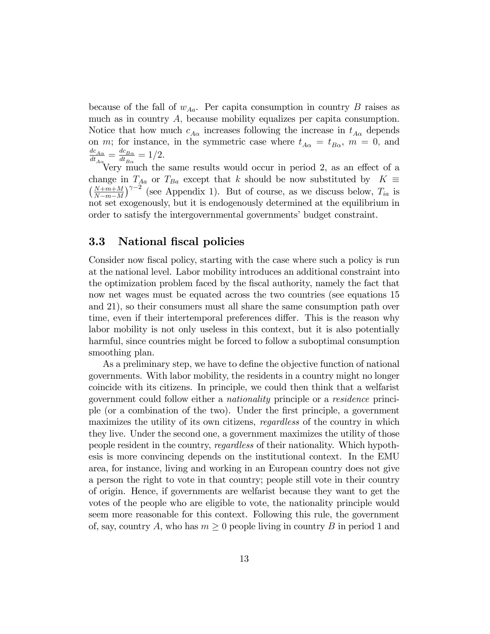because of the fall of  $w_{Aa}$ . Per capita consumption in country B raises as much as in country A; because mobility equalizes per capita consumption. Notice that how much  $c_{A\alpha}$  increases following the increase in  $t_{A\alpha}$  depends on m; for instance, in the symmetric case where  $t_{A\alpha} = t_{B\alpha}$ ,  $m = 0$ , and  $\frac{dc_{A\alpha}}{A}$  $\frac{dc_{A\alpha}}{dt_{A\alpha}}=\frac{dc_{B\alpha}}{dt_{B\alpha}}$  $\frac{d c_{B\alpha}}{dt_{B\alpha}} = 1/2.$ 

Very much the same results would occur in period 2, as an effect of a change in  $T_{Ba}$  or  $T_{Ba}$  except that k should be now substituted by  $K \equiv$  $\left(\frac{N+m+M}{N}\right)$  $N-m-M$  $\int^{\gamma-2}$  (see Appendix 1). But of course, as we discuss below,  $T_{ia}$  is not set exogenously, but it is endogenously determined at the equilibrium in order to satisfy the intergovernmental governments' budget constraint.

#### 3.3 National fiscal policies

Consider now fiscal policy, starting with the case where such a policy is run at the national level. Labor mobility introduces an additional constraint into the optimization problem faced by the Öscal authority, namely the fact that now net wages must be equated across the two countries (see equations 15 and 21), so their consumers must all share the same consumption path over time, even if their intertemporal preferences differ. This is the reason why labor mobility is not only useless in this context, but it is also potentially harmful, since countries might be forced to follow a suboptimal consumption smoothing plan.

As a preliminary step, we have to define the objective function of national governments. With labor mobility, the residents in a country might no longer coincide with its citizens. In principle, we could then think that a welfarist government could follow either a nationality principle or a residence principle (or a combination of the two). Under the Örst principle, a government maximizes the utility of its own citizens, *regardless* of the country in which they live. Under the second one, a government maximizes the utility of those people resident in the country, regardless of their nationality. Which hypothesis is more convincing depends on the institutional context. In the EMU area, for instance, living and working in an European country does not give a person the right to vote in that country; people still vote in their country of origin. Hence, if governments are welfarist because they want to get the votes of the people who are eligible to vote, the nationality principle would seem more reasonable for this context. Following this rule, the government of, say, country A, who has  $m \geq 0$  people living in country B in period 1 and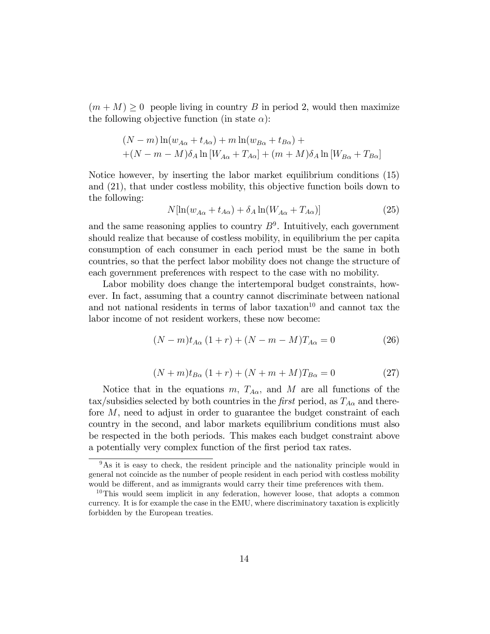$(m + M) \geq 0$  people living in country B in period 2, would then maximize the following objective function (in state  $\alpha$ ):

$$
(N-m)\ln(w_{A\alpha} + t_{A\alpha}) + m\ln(w_{B\alpha} + t_{B\alpha}) +
$$
  
+
$$
(N-m-M)\delta_A \ln[W_{A\alpha} + T_{A\alpha}] + (m+M)\delta_A \ln[W_{B\alpha} + T_{B\alpha}]
$$

Notice however, by inserting the labor market equilibrium conditions (15) and (21), that under costless mobility, this objective function boils down to the following:

$$
N[\ln(w_{A\alpha} + t_{A\alpha}) + \delta_A \ln(W_{A\alpha} + T_{A\alpha})] \tag{25}
$$

and the same reasoning applies to country  $B^9$ . Intuitively, each government should realize that because of costless mobility, in equilibrium the per capita consumption of each consumer in each period must be the same in both countries, so that the perfect labor mobility does not change the structure of each government preferences with respect to the case with no mobility.

Labor mobility does change the intertemporal budget constraints, however. In fact, assuming that a country cannot discriminate between national and not national residents in terms of labor taxation $10$  and cannot tax the labor income of not resident workers, these now become:

$$
(N-m)t_{A\alpha}(1+r) + (N-m-M)T_{A\alpha} = 0
$$
\n(26)

$$
(N+m)t_{B\alpha}(1+r) + (N+m+M)T_{B\alpha} = 0
$$
\n(27)

Notice that in the equations m,  $T_{A\alpha}$ , and M are all functions of the tax/subsidies selected by both countries in the first period, as  $T_{A\alpha}$  and therefore M, need to adjust in order to guarantee the budget constraint of each country in the second, and labor markets equilibrium conditions must also be respected in the both periods. This makes each budget constraint above a potentially very complex function of the first period tax rates.

<sup>&</sup>lt;sup>9</sup>As it is easy to check, the resident principle and the nationality principle would in general not coincide as the number of people resident in each period with costless mobility would be different, and as immigrants would carry their time preferences with them.

<sup>&</sup>lt;sup>10</sup>This would seem implicit in any federation, however loose, that adopts a common currency. It is for example the case in the EMU, where discriminatory taxation is explicitly forbidden by the European treaties.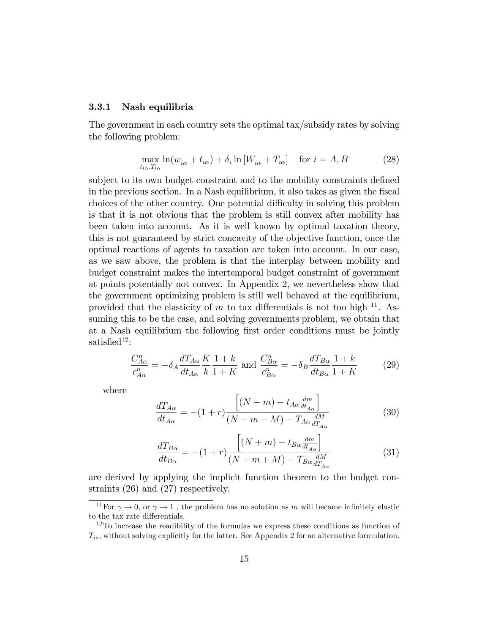#### 3.3.1 Nash equilibria

The government in each country sets the optimal tax/subsidy rates by solving the following problem:

$$
\max_{t_{i\alpha},T_{i\alpha}} \ln(w_{i\alpha} + t_{i\alpha}) + \delta_i \ln[W_{i\alpha} + T_{i\alpha}] \quad \text{for } i = A, B \tag{28}
$$

subject to its own budget constraint and to the mobility constraints defined in the previous section. In a Nash equilibrium, it also takes as given the fiscal choices of the other country. One potential difficulty in solving this problem is that it is not obvious that the problem is still convex after mobility has been taken into account. As it is well known by optimal taxation theory, this is not guaranteed by strict concavity of the objective function, once the optimal reactions of agents to taxation are taken into account. In our case, as we saw above, the problem is that the interplay between mobility and budget constraint makes the intertemporal budget constraint of government at points potentially not convex. In Appendix 2, we nevertheless show that the government optimizing problem is still well behaved at the equilibrium, provided that the elasticity of m to tax differentials is not too high  $^{11}$ . Assuming this to be the case, and solving governments problem, we obtain that at a Nash equilibrium the following first order conditions must be jointly satisfied<sup>12</sup>:

$$
\frac{C_{A\alpha}^n}{c_{A\alpha}^n} = -\delta_A \frac{dT_{A\alpha}}{dt_{A\alpha}} \frac{K}{k} \frac{1+k}{1+K} \text{ and } \frac{C_{B\alpha}^n}{c_{B\alpha}^n} = -\delta_B \frac{dT_{B\alpha}}{dt_{B\alpha}} \frac{1+k}{1+K} \tag{29}
$$

where

$$
\frac{dT_{A\alpha}}{dt_{A\alpha}} = -(1+r)\frac{\left[ (N-m) - t_{A\alpha} \frac{dm}{dt_{A\alpha}} \right]}{(N-m-M) - T_{A\alpha} \frac{dM}{dT_{A\alpha}}}
$$
(30)

$$
\frac{dT_{B\alpha}}{dt_{B\alpha}} = -(1+r)\frac{\left[ (N+m) - t_{B\alpha} \frac{dm}{dt_{A\alpha}} \right]}{(N+m+M) - T_{B\alpha} \frac{dM}{dT_{A\alpha}}}
$$
(31)

are derived by applying the implicit function theorem to the budget constraints (26) and (27) respectively.

<sup>&</sup>lt;sup>11</sup>For  $\gamma \to 0$ , or  $\gamma \to 1$ , the problem has no solution as m will became infinitely elastic to the tax rate differentials.

 $12$ To increase the readibility of the formulas we express these conditions as function of  $T_{is}$ , without solving explicitly for the latter. See Appendix 2 for an alternative formulation.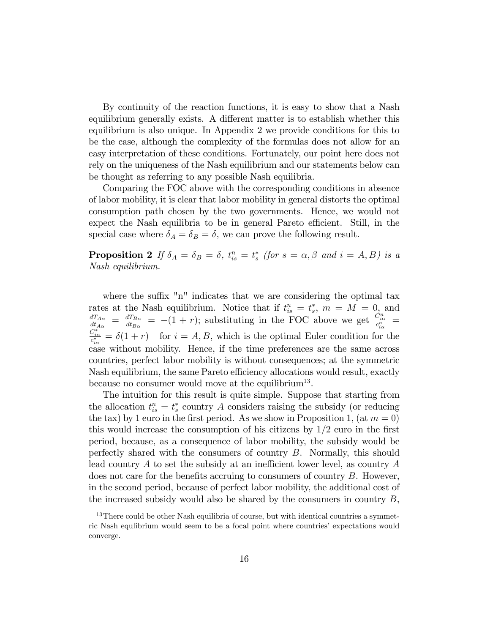By continuity of the reaction functions, it is easy to show that a Nash equilibrium generally exists. A different matter is to establish whether this equilibrium is also unique. In Appendix 2 we provide conditions for this to be the case, although the complexity of the formulas does not allow for an easy interpretation of these conditions. Fortunately, our point here does not rely on the uniqueness of the Nash equilibrium and our statements below can be thought as referring to any possible Nash equilibria.

Comparing the FOC above with the corresponding conditions in absence of labor mobility, it is clear that labor mobility in general distorts the optimal consumption path chosen by the two governments. Hence, we would not expect the Nash equilibria to be in general Pareto efficient. Still, in the special case where  $\delta_A = \delta_B = \delta$ , we can prove the following result.

**Proposition 2** If  $\delta_A = \delta_B = \delta$ ,  $t_{is}^n = t_s^*$  (for  $s = \alpha, \beta$  and  $i = A, B$ ) is a Nash equilibrium.

where the suffix "n" indicates that we are considering the optimal tax rates at the Nash equilibrium. Notice that if  $t_{is}^n = t_s^*, m = M = 0$ , and  $d T_{A\alpha}$  $\frac{dT_{A\alpha}}{dt_{A\alpha}}\ =\ \frac{dT_{B\alpha}}{dt_{B\alpha}}$  $\frac{dT_{B\alpha}}{dt_{B\alpha}} = -(1+r);$  substituting in the FOC above we get  $\frac{C_{i\alpha}^n}{c_{i\alpha}^n}$  =  $\frac{C_{i\alpha}^*}{c_{i\alpha}^*} = \delta(1+r)$  for  $i = A, B$ , which is the optimal Euler condition for the case without mobility. Hence, if the time preferences are the same across countries, perfect labor mobility is without consequences; at the symmetric Nash equilibrium, the same Pareto efficiency allocations would result, exactly because no consumer would move at the equilibrium<sup>13</sup>.

The intuition for this result is quite simple. Suppose that starting from the allocation  $t_{is}^n = t_s^*$  country A considers raising the subsidy (or reducing the tax) by 1 euro in the first period. As we show in Proposition 1, (at  $m = 0$ ) this would increase the consumption of his citizens by  $1/2$  euro in the first period, because, as a consequence of labor mobility, the subsidy would be perfectly shared with the consumers of country B. Normally, this should lead country  $A$  to set the subsidy at an inefficient lower level, as country  $A$ does not care for the benefits accruing to consumers of country  $B$ . However, in the second period, because of perfect labor mobility, the additional cost of the increased subsidy would also be shared by the consumers in country B,

 $13$ There could be other Nash equilibria of course, but with identical countries a symmetric Nash equilibrium would seem to be a focal point where countries' expectations would converge.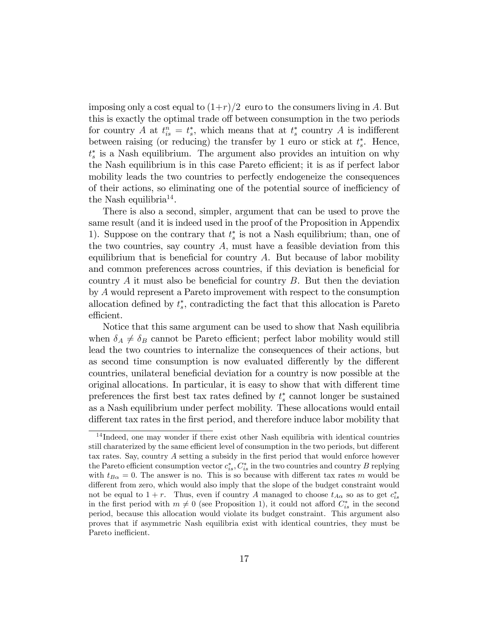imposing only a cost equal to  $(1+r)/2$  euro to the consumers living in A. But this is exactly the optimal trade off between consumption in the two periods for country A at  $t_{is}^n = t_s^*$ , which means that at  $t_s^*$  country A is indifferent between raising (or reducing) the transfer by 1 euro or stick at  $t_s^*$ . Hence,  $t_s^*$  is a Nash equilibrium. The argument also provides an intuition on why the Nash equilibrium is in this case Pareto efficient; it is as if perfect labor mobility leads the two countries to perfectly endogeneize the consequences of their actions, so eliminating one of the potential source of inefficiency of the Nash equilibria<sup>14</sup>.

There is also a second, simpler, argument that can be used to prove the same result (and it is indeed used in the proof of the Proposition in Appendix 1). Suppose on the contrary that  $t_s^*$  is not a Nash equilibrium; than, one of the two countries, say country  $A$ , must have a feasible deviation from this equilibrium that is beneficial for country  $A$ . But because of labor mobility and common preferences across countries, if this deviation is beneficial for country  $A$  it must also be beneficial for country  $B$ . But then the deviation by A would represent a Pareto improvement with respect to the consumption allocation defined by  $t_s^*$ , contradicting the fact that this allocation is Pareto efficient.

Notice that this same argument can be used to show that Nash equilibria when  $\delta_A \neq \delta_B$  cannot be Pareto efficient; perfect labor mobility would still lead the two countries to internalize the consequences of their actions, but as second time consumption is now evaluated differently by the different countries, unilateral beneficial deviation for a country is now possible at the original allocations. In particular, it is easy to show that with different time preferences the first best tax rates defined by  $t_s^*$  cannot longer be sustained as a Nash equilibrium under perfect mobility. These allocations would entail different tax rates in the first period, and therefore induce labor mobility that

<sup>&</sup>lt;sup>14</sup>Indeed, one may wonder if there exist other Nash equilibria with identical countries still charaterized by the same efficient level of consumption in the two periods, but different tax rates. Say, country A setting a subsidy in the first period that would enforce however the Pareto efficient consumption vector  $c_{is}^*$ ,  $C_{is}^*$  in the two countries and country B replying with  $t_{B\alpha} = 0$ . The answer is no. This is so because with different tax rates m would be different from zero, which would also imply that the slope of the budget constraint would not be equal to  $1+r$ . Thus, even if country A managed to choose  $t_{A\alpha}$  so as to get  $c_{is}^*$ in the first period with  $m \neq 0$  (see Proposition 1), it could not afford  $C_{is}^*$  in the second period, because this allocation would violate its budget constraint. This argument also proves that if asymmetric Nash equilibria exist with identical countries, they must be Pareto inefficient.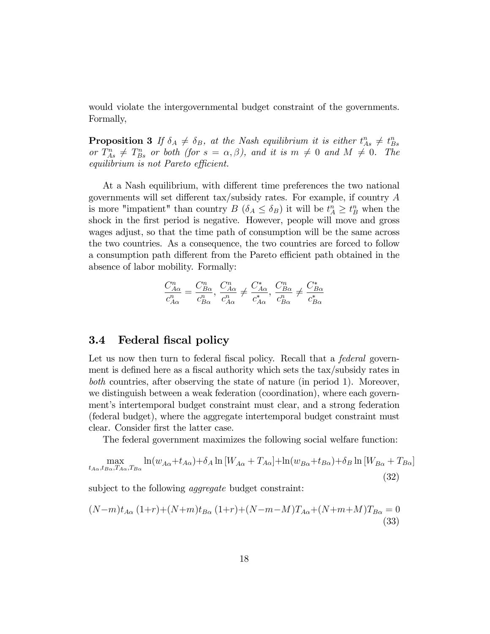would violate the intergovernmental budget constraint of the governments. Formally,

**Proposition 3** If  $\delta_A \neq \delta_B$ , at the Nash equilibrium it is either  $t^n_{As} \neq t^n_{Bs}$ or  $T_{As}^n \neq T_{Bs}^n$  or both (for  $s = \alpha, \beta$ ), and it is  $m \neq 0$  and  $M \neq 0$ . The equilibrium is not Pareto efficient.

At a Nash equilibrium, with different time preferences the two national governments will set different tax/subsidy rates. For example, if country  $A$ is more "impatient" than country  $B(\delta_A \leq \delta_B)$  it will be  $t_A^n \geq t_B^n$  when the shock in the first period is negative. However, people will move and gross wages adjust, so that the time path of consumption will be the same across the two countries. As a consequence, the two countries are forced to follow a consumption path different from the Pareto efficient path obtained in the absence of labor mobility. Formally:

$$
\frac{C^n_{A\alpha}}{c^n_{A\alpha}} = \frac{C^n_{B\alpha}}{c^n_{B\alpha}}, \frac{C^n_{A\alpha}}{c^n_{A\alpha}} \neq \frac{C^*_{A\alpha}}{c^*_{A\alpha}}, \frac{C^n_{B\alpha}}{c^n_{B\alpha}} \neq \frac{C^*_{B\alpha}}{c^*_{B\alpha}}
$$

#### 3.4 Federal fiscal policy

Let us now then turn to federal fiscal policy. Recall that a *federal* government is defined here as a fiscal authority which sets the tax/subsidy rates in both countries, after observing the state of nature (in period 1). Moreover, we distinguish between a weak federation (coordination), where each government's intertemporal budget constraint must clear, and a strong federation (federal budget), where the aggregate intertemporal budget constraint must clear. Consider first the latter case.

The federal government maximizes the following social welfare function:

$$
\max_{t_{A\alpha}, t_{B\alpha}, T_{A\alpha}, T_{B\alpha}} \ln(w_{A\alpha} + t_{A\alpha}) + \delta_A \ln[W_{A\alpha} + T_{A\alpha}] + \ln(w_{B\alpha} + t_{B\alpha}) + \delta_B \ln[W_{B\alpha} + T_{B\alpha}] \tag{32}
$$

subject to the following *aggregate* budget constraint:

$$
(N-m)t_{A\alpha}(1+r)+(N+m)t_{B\alpha}(1+r)+(N-m-M)T_{A\alpha}+(N+m+M)T_{B\alpha}=0
$$
\n(33)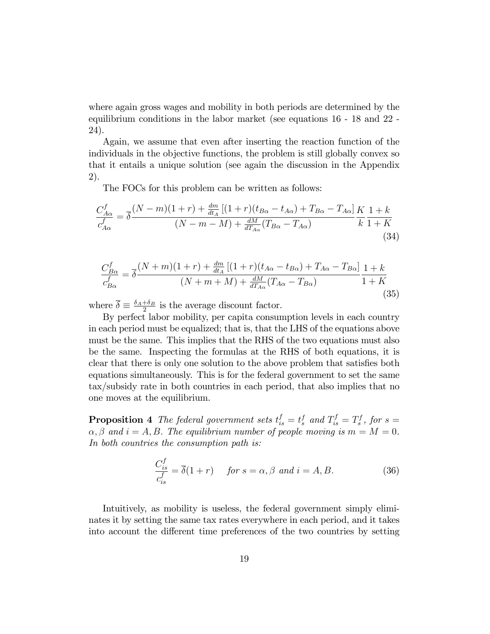where again gross wages and mobility in both periods are determined by the equilibrium conditions in the labor market (see equations 16 - 18 and 22 - 24).

Again, we assume that even after inserting the reaction function of the individuals in the objective functions, the problem is still globally convex so that it entails a unique solution (see again the discussion in the Appendix 2).

The FOCs for this problem can be written as follows:

$$
\frac{C_{A\alpha}^{f}}{c_{A\alpha}^{f}} = \overline{\delta} \frac{(N-m)(1+r) + \frac{dm}{dt_A} [(1+r)(t_{B\alpha} - t_{A\alpha}) + T_{B\alpha} - T_{A\alpha}]}{(N-m-M) + \frac{dM}{dT_{A\alpha}} (T_{B\alpha} - T_{A\alpha})} \frac{K}{k} \frac{1+k}{1+K}
$$
\n(34)

$$
\frac{C_{B\alpha}^{f}}{c_{B\alpha}^{f}} = \overline{\delta} \frac{(N+m)(1+r) + \frac{dm}{dt_A} \left[ (1+r)(t_{A\alpha} - t_{B\alpha}) + T_{A\alpha} - T_{B\alpha} \right]}{(N+m+M) + \frac{dM}{dT_{A\alpha}} (T_{A\alpha} - T_{B\alpha})} \frac{1+k}{1+K}
$$
\n(35)

where  $\overline{\delta} \equiv \frac{\delta_A + \delta_B}{2}$  $\frac{1+\delta_B}{2}$  is the average discount factor.

By perfect labor mobility, per capita consumption levels in each country in each period must be equalized; that is, that the LHS of the equations above must be the same. This implies that the RHS of the two equations must also be the same. Inspecting the formulas at the RHS of both equations, it is clear that there is only one solution to the above problem that satisfies both equations simultaneously. This is for the federal government to set the same tax/subsidy rate in both countries in each period, that also implies that no one moves at the equilibrium.

**Proposition 4** The federal government sets  $t_{is}^f = t_s^f$  and  $T_{is}^f = T_s^f$ , for  $s =$  $\alpha, \beta$  and  $i = A, B$ . The equilibrium number of people moving is  $m = M = 0$ . In both countries the consumption path is:

$$
\frac{C_{is}^f}{c_{is}^f} = \overline{\delta}(1+r) \quad \text{for } s = \alpha, \beta \text{ and } i = A, B. \tag{36}
$$

Intuitively, as mobility is useless, the federal government simply eliminates it by setting the same tax rates everywhere in each period, and it takes into account the different time preferences of the two countries by setting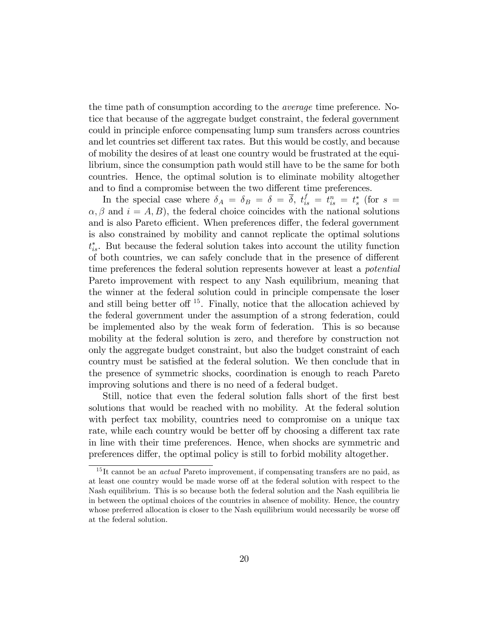the time path of consumption according to the average time preference. Notice that because of the aggregate budget constraint, the federal government could in principle enforce compensating lump sum transfers across countries and let countries set different tax rates. But this would be costly, and because of mobility the desires of at least one country would be frustrated at the equilibrium, since the consumption path would still have to be the same for both countries. Hence, the optimal solution is to eliminate mobility altogether and to find a compromise between the two different time preferences.

In the special case where  $\delta_A = \delta_B = \delta = \overline{\delta}$ ,  $t_{is}^f = t_{is}^n = t_s^*$  (for  $s =$  $\alpha, \beta$  and  $i = A, B$ , the federal choice coincides with the national solutions and is also Pareto efficient. When preferences differ, the federal government is also constrained by mobility and cannot replicate the optimal solutions  $t_{is}^*$ . But because the federal solution takes into account the utility function of both countries, we can safely conclude that in the presence of different time preferences the federal solution represents however at least a potential Pareto improvement with respect to any Nash equilibrium, meaning that the winner at the federal solution could in principle compensate the loser and still being better of  $15$ . Finally, notice that the allocation achieved by the federal government under the assumption of a strong federation, could be implemented also by the weak form of federation. This is so because mobility at the federal solution is zero, and therefore by construction not only the aggregate budget constraint, but also the budget constraint of each country must be satisfied at the federal solution. We then conclude that in the presence of symmetric shocks, coordination is enough to reach Pareto improving solutions and there is no need of a federal budget.

Still, notice that even the federal solution falls short of the first best solutions that would be reached with no mobility. At the federal solution with perfect tax mobility, countries need to compromise on a unique tax rate, while each country would be better of by choosing a different tax rate in line with their time preferences. Hence, when shocks are symmetric and preferences differ, the optimal policy is still to forbid mobility altogether.

<sup>&</sup>lt;sup>15</sup>It cannot be an *actual* Pareto improvement, if compensating transfers are no paid, as at least one country would be made worse off at the federal solution with respect to the Nash equilibrium. This is so because both the federal solution and the Nash equilibria lie in between the optimal choices of the countries in absence of mobility. Hence, the country whose preferred allocation is closer to the Nash equilibrium would necessarily be worse off at the federal solution.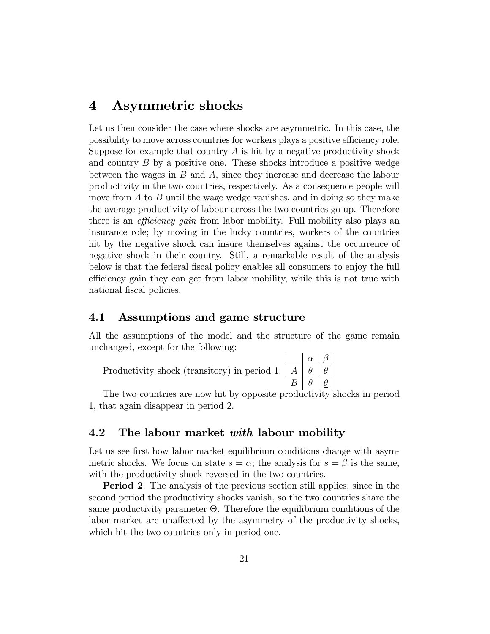### 4 Asymmetric shocks

Let us then consider the case where shocks are asymmetric. In this case, the possibility to move across countries for workers plays a positive efficiency role. Suppose for example that country  $\tilde{A}$  is hit by a negative productivity shock and country B by a positive one. These shocks introduce a positive wedge between the wages in  $B$  and  $A$ , since they increase and decrease the labour productivity in the two countries, respectively. As a consequence people will move from  $A$  to  $B$  until the wage wedge vanishes, and in doing so they make the average productivity of labour across the two countries go up. Therefore there is an *efficiency gain* from labor mobility. Full mobility also plays an insurance role; by moving in the lucky countries, workers of the countries hit by the negative shock can insure themselves against the occurrence of negative shock in their country. Still, a remarkable result of the analysis below is that the federal Öscal policy enables all consumers to enjoy the full efficiency gain they can get from labor mobility, while this is not true with national fiscal policies.

#### 4.1 Assumptions and game structure

All the assumptions of the model and the structure of the game remain unchanged, except for the following:

Productivity shock (transitory) in period 1:

| $\alpha$ |          |
|----------|----------|
| θ        | θ        |
| H        | $\theta$ |

The two countries are now hit by opposite productivity shocks in period 1, that again disappear in period 2.

#### 4.2 The labour market with labour mobility

Let us see first how labor market equilibrium conditions change with asymmetric shocks. We focus on state  $s = \alpha$ ; the analysis for  $s = \beta$  is the same, with the productivity shock reversed in the two countries.

Period 2. The analysis of the previous section still applies, since in the second period the productivity shocks vanish, so the two countries share the same productivity parameter  $\Theta$ . Therefore the equilibrium conditions of the labor market are unaffected by the asymmetry of the productivity shocks, which hit the two countries only in period one.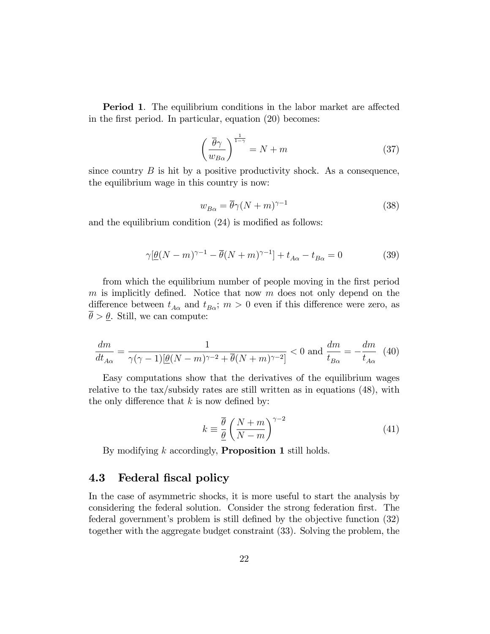**Period 1.** The equilibrium conditions in the labor market are affected in the first period. In particular, equation  $(20)$  becomes:

$$
\left(\frac{\overline{\theta}\gamma}{w_{B\alpha}}\right)^{\frac{1}{1-\gamma}} = N+m\tag{37}
$$

since country  $B$  is hit by a positive productivity shock. As a consequence, the equilibrium wage in this country is now:

$$
w_{B\alpha} = \overline{\theta}\gamma (N+m)^{\gamma - 1} \tag{38}
$$

and the equilibrium condition  $(24)$  is modified as follows:

$$
\gamma[\underline{\theta}(N-m)^{\gamma-1} - \overline{\theta}(N+m)^{\gamma-1}] + t_{A\alpha} - t_{B\alpha} = 0 \tag{39}
$$

from which the equilibrium number of people moving in the first period m is implicitly defined. Notice that now  $m$  does not only depend on the difference between  $t_{A\alpha}$  and  $t_{B\alpha}$ ;  $m > 0$  even if this difference were zero, as  $\theta > \underline{\theta}$ . Still, we can compute:

$$
\frac{dm}{dt_{A\alpha}} = \frac{1}{\gamma(\gamma - 1)[\underline{\theta}(N - m)^{\gamma - 2} + \overline{\theta}(N + m)^{\gamma - 2}]} < 0 \text{ and } \frac{dm}{t_{B\alpha}} = -\frac{dm}{t_{A\alpha}} \tag{40}
$$

Easy computations show that the derivatives of the equilibrium wages relative to the tax/subsidy rates are still written as in equations (48), with the only difference that  $k$  is now defined by:

$$
k \equiv \frac{\overline{\theta}}{\underline{\theta}} \left( \frac{N+m}{N-m} \right)^{\gamma-2} \tag{41}
$$

By modifying  $k$  accordingly, **Proposition 1** still holds.

#### 4.3 Federal fiscal policy

In the case of asymmetric shocks, it is more useful to start the analysis by considering the federal solution. Consider the strong federation first. The federal government's problem is still defined by the objective function (32) together with the aggregate budget constraint (33). Solving the problem, the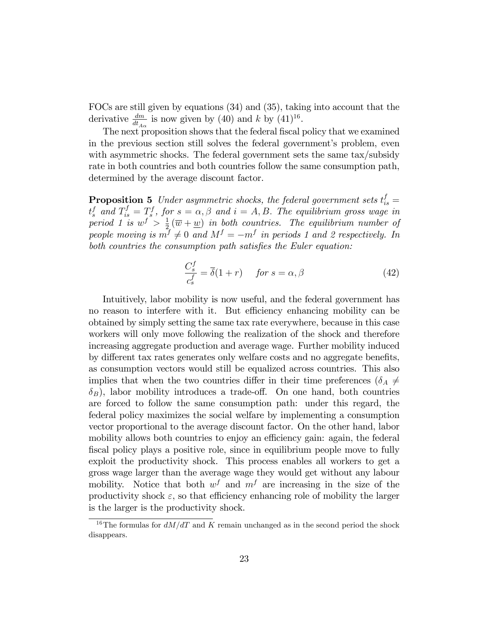FOCs are still given by equations (34) and (35), taking into account that the derivative  $\frac{dm}{dt_{A\alpha}}$  is now given by (40) and k by (41)<sup>16</sup>.

The next proposition shows that the federal fiscal policy that we examined in the previous section still solves the federal government's problem, even with asymmetric shocks. The federal government sets the same tax/subsidy rate in both countries and both countries follow the same consumption path, determined by the average discount factor.

**Proposition 5** Under asymmetric shocks, the federal government sets  $t_{is}^f =$  $t_s^f$  and  $T_{is}^f = T_s^f$ , for  $s = \alpha, \beta$  and  $i = A, B$ . The equilibrium gross wage in period 1 is  $w^f > \frac{1}{2}$  $\frac{1}{2}(\overline{w}+\underline{w})$  in both countries. The equilibrium number of people moving is  $m^f \neq 0$  and  $M^f = -m^f$  in periods 1 and 2 respectively. In both countries the consumption path satisfies the Euler equation:

$$
\frac{C_s^f}{c_s^f} = \overline{\delta}(1+r) \quad \text{for } s = \alpha, \beta \tag{42}
$$

Intuitively, labor mobility is now useful, and the federal government has no reason to interfere with it. But efficiency enhancing mobility can be obtained by simply setting the same tax rate everywhere, because in this case workers will only move following the realization of the shock and therefore increasing aggregate production and average wage. Further mobility induced by different tax rates generates only welfare costs and no aggregate benefits, as consumption vectors would still be equalized across countries. This also implies that when the two countries differ in their time preferences ( $\delta_A \neq$  $\delta_B$ ), labor mobility introduces a trade-off. On one hand, both countries are forced to follow the same consumption path: under this regard, the federal policy maximizes the social welfare by implementing a consumption vector proportional to the average discount factor. On the other hand, labor mobility allows both countries to enjoy an efficiency gain: again, the federal fiscal policy plays a positive role, since in equilibrium people move to fully exploit the productivity shock. This process enables all workers to get a gross wage larger than the average wage they would get without any labour mobility. Notice that both  $w<sup>f</sup>$  and  $m<sup>f</sup>$  are increasing in the size of the productivity shock  $\varepsilon$ , so that efficiency enhancing role of mobility the larger is the larger is the productivity shock.

<sup>&</sup>lt;sup>16</sup>The formulas for  $dM/dT$  and K remain unchanged as in the second period the shock disappears.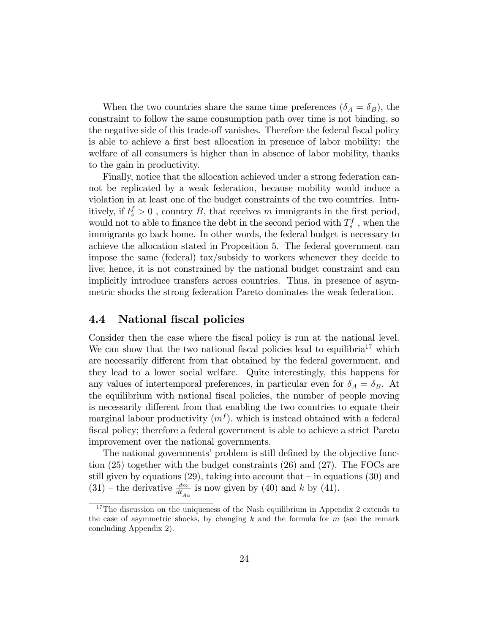When the two countries share the same time preferences  $(\delta_A = \delta_B)$ , the constraint to follow the same consumption path over time is not binding, so the negative side of this trade-off vanishes. Therefore the federal fiscal policy is able to achieve a first best allocation in presence of labor mobility: the welfare of all consumers is higher than in absence of labor mobility, thanks to the gain in productivity.

Finally, notice that the allocation achieved under a strong federation cannot be replicated by a weak federation, because mobility would induce a violation in at least one of the budget constraints of the two countries. Intuitively, if  $t_s^f > 0$ , country B, that receives m immigrants in the first period, would not to able to finance the debt in the second period with  $T_s^f$  , when the immigrants go back home. In other words, the federal budget is necessary to achieve the allocation stated in Proposition 5. The federal government can impose the same (federal) tax/subsidy to workers whenever they decide to live; hence, it is not constrained by the national budget constraint and can implicitly introduce transfers across countries. Thus, in presence of asymmetric shocks the strong federation Pareto dominates the weak federation.

#### 4.4 National fiscal policies

Consider then the case where the fiscal policy is run at the national level. We can show that the two national fiscal policies lead to equilibria<sup>17</sup> which are necessarily different from that obtained by the federal government, and they lead to a lower social welfare. Quite interestingly, this happens for any values of intertemporal preferences, in particular even for  $\delta_A = \delta_B$ . At the equilibrium with national fiscal policies, the number of people moving is necessarily different from that enabling the two countries to equate their marginal labour productivity  $(m<sup>f</sup>)$ , which is instead obtained with a federal Öscal policy; therefore a federal government is able to achieve a strict Pareto improvement over the national governments.

The national governments' problem is still defined by the objective function (25) together with the budget constraints (26) and (27). The FOCs are still given by equations (29), taking into account that  $-$  in equations (30) and  $(31)$  – the derivative  $\frac{dm}{dt_{A\alpha}}$  is now given by (40) and k by (41).

<sup>&</sup>lt;sup>17</sup>The discussion on the uniqueness of the Nash equilibrium in Appendix 2 extends to the case of asymmetric shocks, by changing  $k$  and the formula for  $m$  (see the remark concluding Appendix 2).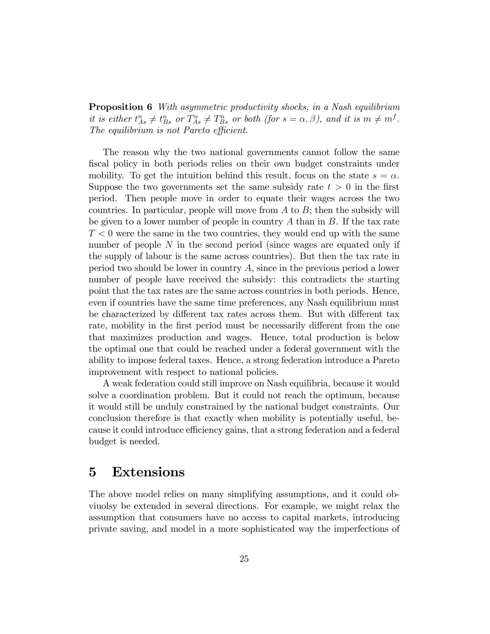**Proposition 6** With asymmetric productivity shocks, in a Nash equilibrium it is either  $t_{As}^n \neq t_{Bs}^n$  or  $T_{As}^n \neq T_{Bs}^n$  or both (for  $s = \alpha, \beta$ ), and it is  $m \neq m<sup>f</sup>$ . The equilibrium is not Pareto efficient.

The reason why the two national governments cannot follow the same fiscal policy in both periods relies on their own budget constraints under mobility. To get the intuition behind this result, focus on the state  $s = \alpha$ . Suppose the two governments set the same subsidy rate  $t > 0$  in the first period. Then people move in order to equate their wages across the two countries. In particular, people will move from  $A$  to  $B$ ; then the subsidy will be given to a lower number of people in country A than in  $B$ . If the tax rate  $T < 0$  were the same in the two countries, they would end up with the same number of people  $N$  in the second period (since wages are equated only if the supply of labour is the same across countries). But then the tax rate in period two should be lower in country A, since in the previous period a lower number of people have received the subsidy: this contradicts the starting point that the tax rates are the same across countries in both periods. Hence, even if countries have the same time preferences, any Nash equilibrium must be characterized by different tax rates across them. But with different tax rate, mobility in the first period must be necessarily different from the one that maximizes production and wages. Hence, total production is below the optimal one that could be reached under a federal government with the ability to impose federal taxes. Hence, a strong federation introduce a Pareto improvement with respect to national policies.

A weak federation could still improve on Nash equilibria, because it would solve a coordination problem. But it could not reach the optimum, because it would still be unduly constrained by the national budget constraints. Our conclusion therefore is that exactly when mobility is potentially useful, because it could introduce efficiency gains, that a strong federation and a federal budget is needed.

### 5 Extensions

The above model relies on many simplifying assumptions, and it could obviuolsy be extended in several directions. For example, we might relax the assumption that consumers have no access to capital markets, introducing private saving, and model in a more sophisticated way the imperfections of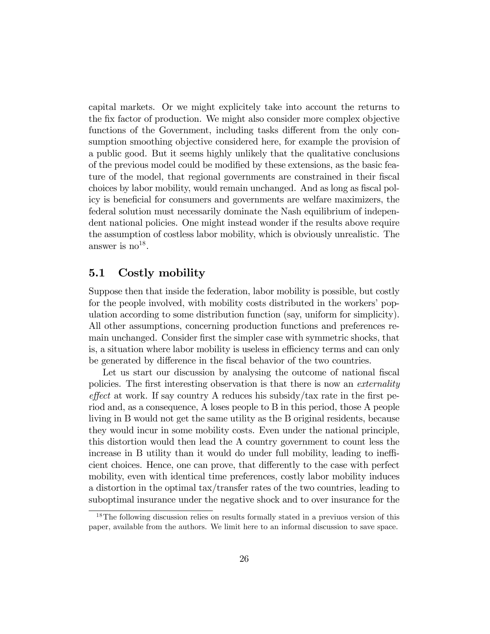capital markets. Or we might explicitely take into account the returns to the Öx factor of production. We might also consider more complex objective functions of the Government, including tasks different from the only consumption smoothing objective considered here, for example the provision of a public good. But it seems highly unlikely that the qualitative conclusions of the previous model could be modified by these extensions, as the basic feature of the model, that regional governments are constrained in their fiscal choices by labor mobility, would remain unchanged. And as long as fiscal policy is beneficial for consumers and governments are welfare maximizers, the federal solution must necessarily dominate the Nash equilibrium of independent national policies. One might instead wonder if the results above require the assumption of costless labor mobility, which is obviously unrealistic. The answer is  $no^{18}$ .

#### 5.1 Costly mobility

Suppose then that inside the federation, labor mobility is possible, but costly for the people involved, with mobility costs distributed in the workers' population according to some distribution function (say, uniform for simplicity). All other assumptions, concerning production functions and preferences remain unchanged. Consider first the simpler case with symmetric shocks, that is, a situation where labor mobility is useless in efficiency terms and can only be generated by difference in the fiscal behavior of the two countries.

Let us start our discussion by analysing the outcome of national fiscal policies. The first interesting observation is that there is now an *externality*  $effect$  at work. If say country A reduces his subsidy/tax rate in the first period and, as a consequence, A loses people to B in this period, those A people living in B would not get the same utility as the B original residents, because they would incur in some mobility costs. Even under the national principle, this distortion would then lead the A country government to count less the increase in B utility than it would do under full mobility, leading to inefficient choices. Hence, one can prove, that differently to the case with perfect mobility, even with identical time preferences, costly labor mobility induces a distortion in the optimal tax/transfer rates of the two countries, leading to suboptimal insurance under the negative shock and to over insurance for the

<sup>&</sup>lt;sup>18</sup>The following discussion relies on results formally stated in a previuos version of this paper, available from the authors. We limit here to an informal discussion to save space.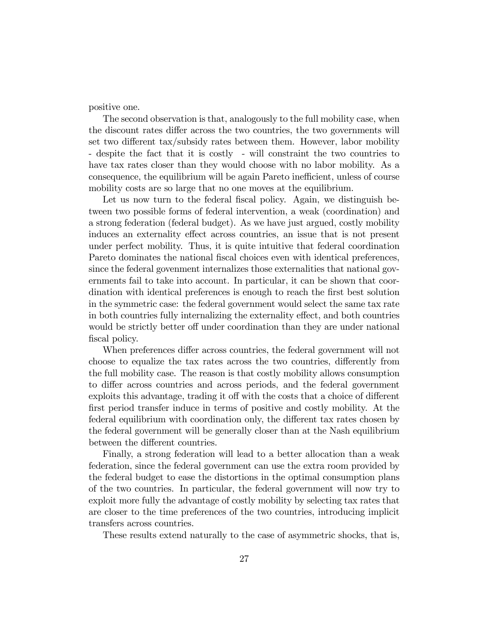positive one.

The second observation is that, analogously to the full mobility case, when the discount rates differ across the two countries, the two governments will set two different tax/subsidy rates between them. However, labor mobility - despite the fact that it is costly - will constraint the two countries to have tax rates closer than they would choose with no labor mobility. As a consequence, the equilibrium will be again Pareto inefficient, unless of course mobility costs are so large that no one moves at the equilibrium.

Let us now turn to the federal fiscal policy. Again, we distinguish between two possible forms of federal intervention, a weak (coordination) and a strong federation (federal budget). As we have just argued, costly mobility induces an externality effect across countries, an issue that is not present under perfect mobility. Thus, it is quite intuitive that federal coordination Pareto dominates the national fiscal choices even with identical preferences, since the federal govenment internalizes those externalities that national governments fail to take into account. In particular, it can be shown that coordination with identical preferences is enough to reach the first best solution in the symmetric case: the federal government would select the same tax rate in both countries fully internalizing the externality effect, and both countries would be strictly better off under coordination than they are under national fiscal policy.

When preferences differ across countries, the federal government will not choose to equalize the tax rates across the two countries, differently from the full mobility case. The reason is that costly mobility allows consumption to differ across countries and across periods, and the federal government exploits this advantage, trading it off with the costs that a choice of different first period transfer induce in terms of positive and costly mobility. At the federal equilibrium with coordination only, the different tax rates chosen by the federal government will be generally closer than at the Nash equilibrium between the different countries.

Finally, a strong federation will lead to a better allocation than a weak federation, since the federal government can use the extra room provided by the federal budget to ease the distortions in the optimal consumption plans of the two countries. In particular, the federal government will now try to exploit more fully the advantage of costly mobility by selecting tax rates that are closer to the time preferences of the two countries, introducing implicit transfers across countries.

These results extend naturally to the case of asymmetric shocks, that is,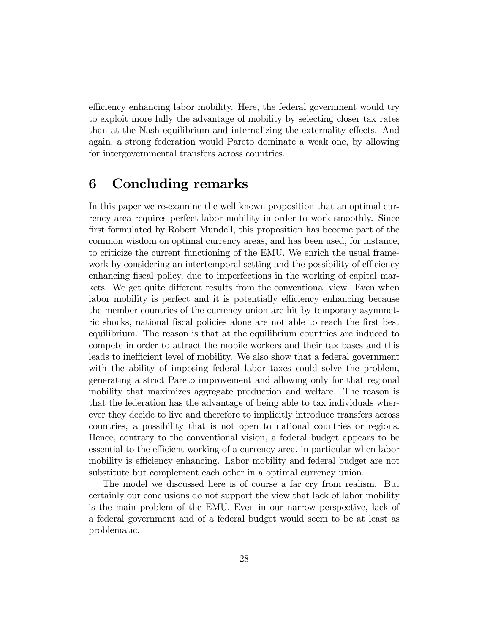efficiency enhancing labor mobility. Here, the federal government would try to exploit more fully the advantage of mobility by selecting closer tax rates than at the Nash equilibrium and internalizing the externality effects. And again, a strong federation would Pareto dominate a weak one, by allowing for intergovernmental transfers across countries.

### 6 Concluding remarks

In this paper we re-examine the well known proposition that an optimal currency area requires perfect labor mobility in order to work smoothly. Since first formulated by Robert Mundell, this proposition has become part of the common wisdom on optimal currency areas, and has been used, for instance, to criticize the current functioning of the EMU. We enrich the usual framework by considering an intertemporal setting and the possibility of efficiency enhancing fiscal policy, due to imperfections in the working of capital markets. We get quite different results from the conventional view. Even when labor mobility is perfect and it is potentially efficiency enhancing because the member countries of the currency union are hit by temporary asymmetric shocks, national fiscal policies alone are not able to reach the first best equilibrium. The reason is that at the equilibrium countries are induced to compete in order to attract the mobile workers and their tax bases and this leads to inefficient level of mobility. We also show that a federal government with the ability of imposing federal labor taxes could solve the problem, generating a strict Pareto improvement and allowing only for that regional mobility that maximizes aggregate production and welfare. The reason is that the federation has the advantage of being able to tax individuals wherever they decide to live and therefore to implicitly introduce transfers across countries, a possibility that is not open to national countries or regions. Hence, contrary to the conventional vision, a federal budget appears to be essential to the efficient working of a currency area, in particular when labor mobility is efficiency enhancing. Labor mobility and federal budget are not substitute but complement each other in a optimal currency union.

The model we discussed here is of course a far cry from realism. But certainly our conclusions do not support the view that lack of labor mobility is the main problem of the EMU. Even in our narrow perspective, lack of a federal government and of a federal budget would seem to be at least as problematic.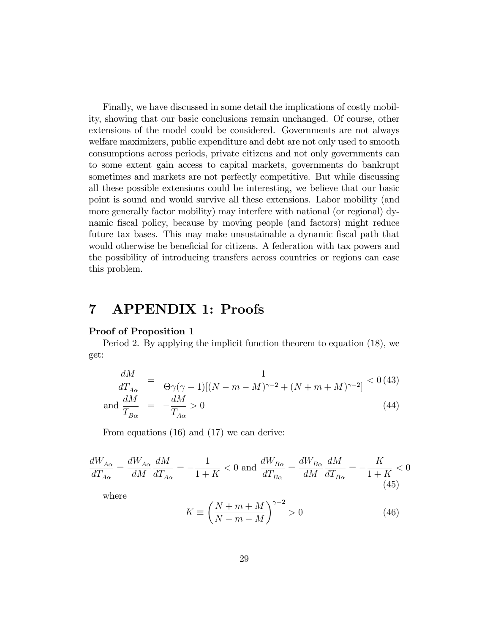Finally, we have discussed in some detail the implications of costly mobility, showing that our basic conclusions remain unchanged. Of course, other extensions of the model could be considered. Governments are not always welfare maximizers, public expenditure and debt are not only used to smooth consumptions across periods, private citizens and not only governments can to some extent gain access to capital markets, governments do bankrupt sometimes and markets are not perfectly competitive. But while discussing all these possible extensions could be interesting, we believe that our basic point is sound and would survive all these extensions. Labor mobility (and more generally factor mobility) may interfere with national (or regional) dynamic Öscal policy, because by moving people (and factors) might reduce future tax bases. This may make unsustainable a dynamic fiscal path that would otherwise be beneficial for citizens. A federation with tax powers and the possibility of introducing transfers across countries or regions can ease this problem.

### 7 APPENDIX 1: Proofs

#### Proof of Proposition 1

Period 2. By applying the implicit function theorem to equation (18), we get:

$$
\frac{dM}{dT_{A\alpha}} = \frac{1}{\Theta\gamma(\gamma - 1)[(N - m - M)^{\gamma - 2} + (N + m + M)^{\gamma - 2}]} < 0
$$
\n
$$
\text{and } \frac{dM}{T_{B\alpha}} = -\frac{dM}{T_{A\alpha}} > 0
$$
\n
$$
\tag{44}
$$

From equations (16) and (17) we can derive:

$$
\frac{dW_{A\alpha}}{dT_{A\alpha}} = \frac{dW_{A\alpha}}{dM} \frac{dM}{dT_{A\alpha}} = -\frac{1}{1+K} < 0 \text{ and } \frac{dW_{B\alpha}}{dT_{B\alpha}} = \frac{dW_{B\alpha}}{dM} \frac{dM}{dT_{B\alpha}} = -\frac{K}{1+K} < 0
$$
\n(45)

where

$$
K \equiv \left(\frac{N+m+M}{N-m-M}\right)^{\gamma-2} > 0\tag{46}
$$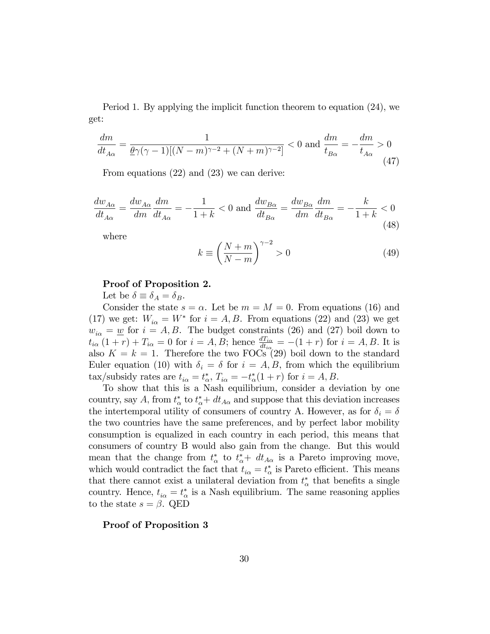Period 1. By applying the implicit function theorem to equation (24), we get:

$$
\frac{dm}{dt_{A\alpha}} = \frac{1}{\underline{\theta}\gamma(\gamma - 1)[(N - m)^{\gamma - 2} + (N + m)^{\gamma - 2}]} < 0 \text{ and } \frac{dm}{t_{B\alpha}} = -\frac{dm}{t_{A\alpha}} > 0 \tag{47}
$$

From equations (22) and (23) we can derive:

$$
\frac{dw_{A\alpha}}{dt_{A\alpha}} = \frac{dw_{A\alpha}}{dm} \frac{dm}{dt_{A\alpha}} = -\frac{1}{1+k} < 0 \text{ and } \frac{dw_{B\alpha}}{dt_{B\alpha}} = \frac{dw_{B\alpha}}{dm} \frac{dm}{dt_{B\alpha}} = -\frac{k}{1+k} < 0 \tag{48}
$$

where

$$
k \equiv \left(\frac{N+m}{N-m}\right)^{\gamma-2} > 0\tag{49}
$$

#### Proof of Proposition 2.

Let be  $\delta \equiv \delta_A = \delta_B$ .

Consider the state  $s = \alpha$ . Let be  $m = M = 0$ . From equations (16) and (17) we get:  $W_{i\alpha} = W^*$  for  $i = A, B$ . From equations (22) and (23) we get  $w_{i\alpha} = \underline{w}$  for  $i = A, B$ . The budget constraints (26) and (27) boil down to  $t_{i\alpha}(1+r)+T_{i\alpha}=0$  for  $i=A,B$ ; hence  $\frac{dT_{i\alpha}}{dt_{i\alpha}}=-(1+r)$  for  $i=A,B$ . It is also  $K = k = 1$ . Therefore the two FOCs (29) boil down to the standard Euler equation (10) with  $\delta_i = \delta$  for  $i = A, B$ , from which the equilibrium tax/subsidy rates are  $t_{i\alpha} = t_{\alpha}^*$ ,  $T_{i\alpha} = -t_{\alpha}^*(1+r)$  for  $i = A, B$ .

To show that this is a Nash equilibrium, consider a deviation by one country, say A, from  $t^*_{\alpha}$  to  $t^*_{\alpha} + dt_{A\alpha}$  and suppose that this deviation increases the intertemporal utility of consumers of country A. However, as for  $\delta_i = \delta$ the two countries have the same preferences, and by perfect labor mobility consumption is equalized in each country in each period, this means that consumers of country B would also gain from the change. But this would mean that the change from  $t^*_{\alpha}$  to  $t^*_{\alpha}$  +  $dt_{A\alpha}$  is a Pareto improving move, which would contradict the fact that  $t_{i\alpha} = t_{\alpha}^*$  is Pareto efficient. This means that there cannot exist a unilateral deviation from  $t^*_{\alpha}$  that benefits a single country. Hence,  $t_{i\alpha} = t_{\alpha}^*$  is a Nash equilibrium. The same reasoning applies to the state  $s = \beta$ . QED

Proof of Proposition 3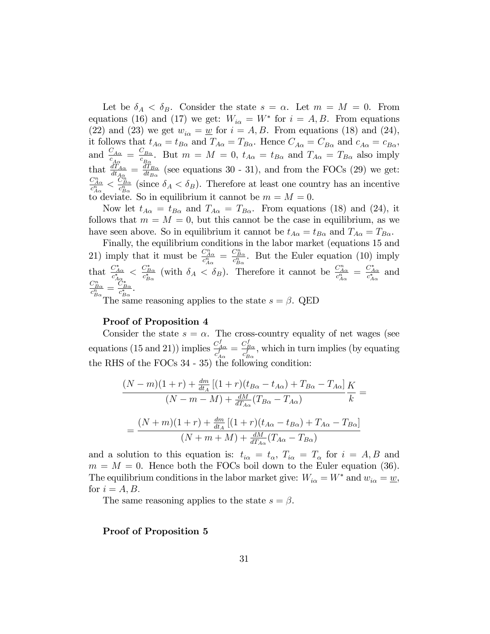Let be  $\delta_A < \delta_B$ . Consider the state  $s = \alpha$ . Let  $m = M = 0$ . From equations (16) and (17) we get:  $W_{i\alpha} = W^*$  for  $i = A, B$ . From equations (22) and (23) we get  $w_{i\alpha} = \underline{w}$  for  $i = A, B$ . From equations (18) and (24), it follows that  $t_{A\alpha} = t_{B\alpha}$  and  $T_{A\alpha} = T_{B\alpha}$ . Hence  $C_{A\alpha} = C_{B\alpha}$  and  $c_{A\alpha} = c_{B\alpha}$ , and  $\frac{C_{A\alpha}}{c_{A\alpha}} = \frac{C_{B\alpha}}{c_{B\alpha}}$  $\frac{C_{B\alpha}}{c_{B\alpha}}$ . But  $m = M = 0$ ,  $t_{A\alpha} = t_{B\alpha}$  and  $T_{A\alpha} = T_{B\alpha}$  also imply that  $\frac{dT_{A\alpha}}{dt_{A\alpha}} = \frac{dT_{B\alpha}}{dt_{B\alpha}}$  $\frac{d_{B\alpha}}{dt_{B\alpha}}$  (see equations 30 - 31), and from the FOCs (29) we get:  $\frac{C^n_{A\alpha}}{c^n_{A\alpha}} < \frac{C^n_{B\alpha}}{c^n_{B\alpha}}$  (since  $\delta_A < \delta_B$ ). Therefore at least one country has an incentive to deviate. So in equilibrium it cannot be  $m = M = 0$ .

Now let  $t_{A\alpha} = t_{B\alpha}$  and  $T_{A\alpha} = T_{B\alpha}$ . From equations (18) and (24), it follows that  $m = M = 0$ , but this cannot be the case in equilibrium, as we have seen above. So in equilibrium it cannot be  $t_{A\alpha} = t_{B\alpha}$  and  $T_{A\alpha} = T_{B\alpha}$ .

Finally, the equilibrium conditions in the labor market (equations 15 and 21) imply that it must be  $\frac{C_{A\alpha}^n}{c_{A\alpha}^n} = \frac{C_{B\alpha}^n}{c_{B\alpha}^n}$ . But the Euler equation (10) imply that  $\frac{C_{A\alpha}^*}{c_{A\alpha}^*} < \frac{C_{B\alpha}^*}{c_{B\alpha}^*}$  (with  $\delta_A < \delta_B$ ). Therefore it cannot be  $\frac{C_{A\alpha}^*}{c_{A\alpha}^*} = \frac{C_{A\alpha}^*}{c_{A\alpha}^*}$  and  $\frac{C^n_{B\alpha}}{c^n_{B\alpha}}=\frac{C^*_{B\alpha}}{c^*_{B\alpha}}.$ 

The same reasoning applies to the state  $s = \beta$ . QED

#### Proof of Proposition 4

Consider the state  $s = \alpha$ . The cross-country equality of net wages (see equations (15 and 21)) implies  $\frac{C_{A\alpha}^f}{c_{A\alpha}^f} = \frac{C_{B\alpha}^f}{c_{B\alpha}^f}$ , which in turn implies (by equating the RHS of the FOCs 34 - 35) the following condition:

$$
\frac{(N-m)(1+r) + \frac{dm}{dt_A}[(1+r)(t_{B\alpha} - t_{A\alpha}) + T_{B\alpha} - T_{A\alpha}]}{(N-m-M) + \frac{dM}{dT_{A\alpha}}(T_{B\alpha} - T_{A\alpha})}\frac{K}{k} =
$$

$$
= \frac{(N+m)(1+r) + \frac{dm}{dt_A}[(1+r)(t_{A\alpha} - t_{B\alpha}) + T_{A\alpha} - T_{B\alpha}]}{(N+m+M) + \frac{dM}{dT_{A\alpha}}(T_{A\alpha} - T_{B\alpha})}
$$

and a solution to this equation is:  $t_{i\alpha} = t_{\alpha}$ ,  $T_{i\alpha} = T_{\alpha}$  for  $i = A, B$  and  $m = M = 0$ . Hence both the FOCs boil down to the Euler equation (36). The equilibrium conditions in the labor market give:  $W_{i\alpha} = W^*$  and  $w_{i\alpha} = \underline{w}$ , for  $i = A, B$ .

The same reasoning applies to the state  $s = \beta$ .

#### Proof of Proposition 5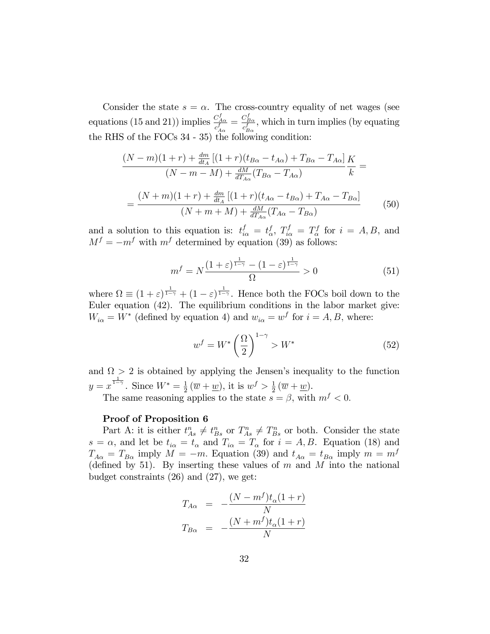Consider the state  $s = \alpha$ . The cross-country equality of net wages (see equations (15 and 21)) implies  $\frac{C_{A\alpha}^f}{c_{A\alpha}^f} = \frac{C_{B\alpha}^f}{c_{B\alpha}^f}$ , which in turn implies (by equating the RHS of the FOCs 34 - 35) the following condition:

$$
\frac{(N-m)(1+r) + \frac{dm}{dt_A} [(1+r)(t_{B\alpha} - t_{A\alpha}) + T_{B\alpha} - T_{A\alpha}]}{(N-m-M) + \frac{dM}{dT_{A\alpha}} (T_{B\alpha} - T_{A\alpha})} \frac{K}{k} =
$$
\n
$$
= \frac{(N+m)(1+r) + \frac{dm}{dt_A} [(1+r)(t_{A\alpha} - t_{B\alpha}) + T_{A\alpha} - T_{B\alpha}]}{(N+m+M) + \frac{dM}{dT_{A\alpha}} (T_{A\alpha} - T_{B\alpha})}
$$
(50)

and a solution to this equation is:  $t_{i\alpha}^f = t_{\alpha}^f$ ,  $T_{i\alpha}^f = T_{\alpha}^f$  for  $i = A, B$ , and  $M<sup>f</sup> = -m<sup>f</sup>$  with  $m<sup>f</sup>$  determined by equation (39) as follows:

$$
m^f = N \frac{\left(1+\varepsilon\right)^{\frac{1}{1-\gamma}} - \left(1-\varepsilon\right)^{\frac{1}{1-\gamma}}}{\Omega} > 0\tag{51}
$$

where  $\Omega \equiv (1+\varepsilon)^{\frac{1}{1-\gamma}} + (1-\varepsilon)^{\frac{1}{1-\gamma}}$ . Hence both the FOCs boil down to the Euler equation (42). The equilibrium conditions in the labor market give:  $W_{i\alpha} = W^*$  (defined by equation 4) and  $w_{i\alpha} = w^f$  for  $i = A, B$ , where:

$$
w^f = W^* \left(\frac{\Omega}{2}\right)^{1-\gamma} > W^* \tag{52}
$$

and  $\Omega > 2$  is obtained by applying the Jensen's inequality to the function  $y = x^{\frac{1}{1-\gamma}}$ . Since  $W^* = \frac{1}{2}$  $\frac{1}{2}(\overline{w} + \underline{w})$ , it is  $w^f > \frac{1}{2}$  $rac{1}{2}(\overline{w}+\underline{w}).$ The same reasoning applies to the state  $s = \beta$ , with  $m<sup>f</sup> < 0$ .

#### Proof of Proposition 6

Part A: it is either  $t_{As}^n \neq t_{Bs}^n$  or  $T_{As}^n \neq T_{Bs}^n$  or both. Consider the state  $s = \alpha$ , and let be  $t_{i\alpha} = t_{\alpha}$  and  $T_{i\alpha} = T_{\alpha}$  for  $i = A, B$ . Equation (18) and  $T_{A\alpha} = T_{B\alpha}$  imply  $M = -m$ . Equation (39) and  $t_{A\alpha} = t_{B\alpha}$  imply  $m = m^f$ (defined by 51). By inserting these values of  $m$  and  $M$  into the national budget constraints (26) and (27), we get:

$$
T_{A\alpha} = -\frac{(N - m^f)t_{\alpha}(1+r)}{N}
$$

$$
T_{B\alpha} = -\frac{(N + m^f)t_{\alpha}(1+r)}{N}
$$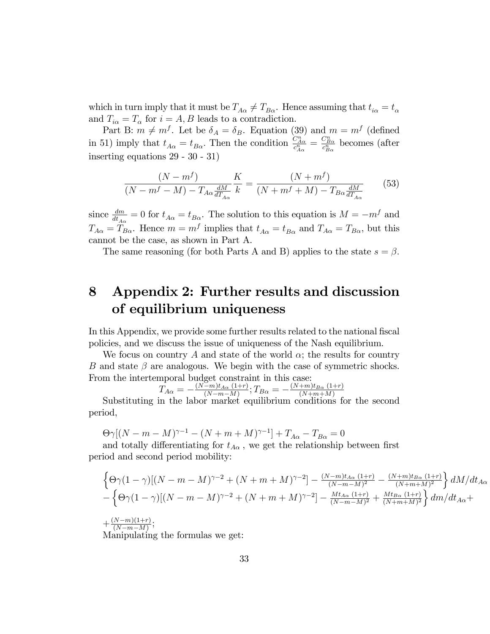which in turn imply that it must be  $T_{A\alpha} \neq T_{B\alpha}$ . Hence assuming that  $t_{i\alpha} = t_{\alpha}$ and  $T_{i\alpha} = T_{\alpha}$  for  $i = A, B$  leads to a contradiction.

Part B:  $m \neq m^f$ . Let be  $\delta_A = \delta_B$ . Equation (39) and  $m = m^f$  (defined in 51) imply that  $t_{A\alpha} = t_{B\alpha}$ . Then the condition  $\frac{C_{A\alpha}^{n}}{c_{A\alpha}^{n}} = \frac{C_{B\alpha}^{n}}{c_{B\alpha}^{n}}$  becomes (after inserting equations 29 - 30 - 31)

$$
\frac{(N-m^f)}{(N-m^f-M)-T_{A\alpha}\frac{dM}{dT_{A\alpha}}}\frac{K}{k} = \frac{(N+m^f)}{(N+m^f+M)-T_{B\alpha}\frac{dM}{dT_{A\alpha}}}
$$
(53)

since  $\frac{dm}{dt_{A\alpha}} = 0$  for  $t_{A\alpha} = t_{B\alpha}$ . The solution to this equation is  $M = -m<sup>f</sup>$  and  $T_{A\alpha} = T_{B\alpha}$ . Hence  $m = m^f$  implies that  $t_{A\alpha} = t_{B\alpha}$  and  $T_{A\alpha} = T_{B\alpha}$ , but this cannot be the case, as shown in Part A.

The same reasoning (for both Parts A and B) applies to the state  $s = \beta$ .

# 8 Appendix 2: Further results and discussion of equilibrium uniqueness

In this Appendix, we provide some further results related to the national fiscal policies, and we discuss the issue of uniqueness of the Nash equilibrium.

We focus on country A and state of the world  $\alpha$ ; the results for country B and state  $\beta$  are analogous. We begin with the case of symmetric shocks. From the intertemporal budget constraint in this case:

$$
T_{A\alpha} = -\frac{(N-m)t_{A\alpha} (1+r)}{(N-m-M)}; T_{B\alpha} = -\frac{(N+m)t_{B\alpha} (1+r)}{(N+m+M)}
$$

 $X_{A\alpha}$   $(X_{-m-M})$ ,  $Y_{B\alpha}$   $(X_{+m+M})$ <br>Substituting in the labor market equilibrium conditions for the second period,

 $\Theta \gamma [(N - m - M)^{\gamma - 1} - (N + m + M)^{\gamma - 1}] + T_{A\alpha} - T_{B\alpha} = 0$ 

and totally differentiating for  $t_{A\alpha}$ , we get the relationship between first period and second period mobility:

$$
\begin{aligned} &\left\{\Theta\gamma(1-\gamma)[(N-m-M)^{\gamma-2}+(N+m+M)^{\gamma-2}]-\tfrac{(N-m)t_{A\alpha}(1+r)}{(N-m-M)^2}-\tfrac{(N+m)t_{B\alpha}(1+r)}{(N+m+M)^2}\right\}dM/dt_{A\alpha}\\ &-\left\{\Theta\gamma(1-\gamma)[(N-m-M)^{\gamma-2}+(N+m+M)^{\gamma-2}]-\tfrac{Mt_{A\alpha}(1+r)}{(N-m-M)^2}+\tfrac{Mt_{B\alpha}(1+r)}{(N+m+M)^2}\right\}dM/dt_{A\alpha}+\\ &+\tfrac{(N-m)(1+r)}{(N-m-M)}; \end{aligned}
$$

Manipulating the formulas we get: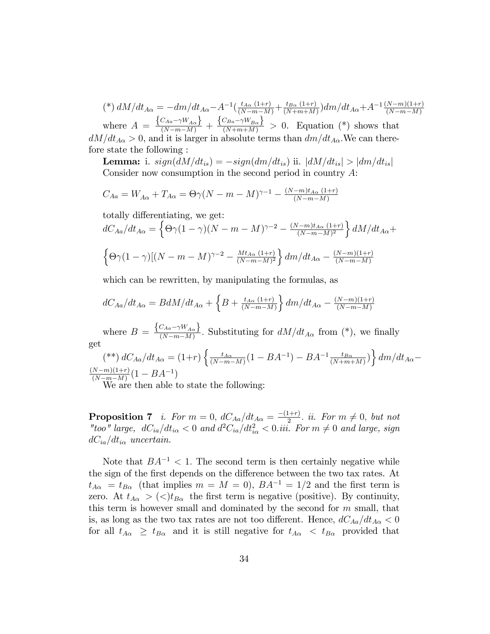(\*)  $dM/dt_{A\alpha} = -dm/dt_{A\alpha} - A^{-1}(\frac{t_{A\alpha}(1+r)}{(N-m-M)} + \frac{t_{B\alpha}(1+r)}{(N+m+M)})$  $\frac{t_{B\alpha}(1+r)}{(N+m+M)}$ ) $dm/dt_{A\alpha}+A^{-1}\frac{(N-m)(1+r)}{(N-m-M)}$ where  $A = \frac{\left\{C_{Aa} - \gamma W_{A\alpha}\right\}}{(N-m-M)} + \frac{\left\{C_{Ba} - \gamma W_{B\alpha}\right\}}{(N+m+M)} > 0$ . Equation (\*) shows that  $dM/dt_{A\alpha} > 0$ , and it is larger in absolute terms than  $dm/dt_{A\alpha}$ . We can therefore state the following :

**Lemma:** i.  $sign(dM/dt_{is}) = -sign(dm/dt_{is})$  ii.  $|dM/dt_{is}| > |dm/dt_{is}|$ Consider now consumption in the second period in country A:

$$
C_{Aa} = W_{A\alpha} + T_{A\alpha} = \Theta \gamma (N - m - M)^{\gamma - 1} - \frac{(N - m)t_{A\alpha} (1 + r)}{(N - m - M)}
$$

totally differentiating, we get:

$$
dC_{A\alpha}/dt_{A\alpha} = \left\{\Theta\gamma(1-\gamma)(N-m-M)^{\gamma-2} - \frac{(N-m)t_{A\alpha}(1+r)}{(N-m-M)^2}\right\}dM/dt_{A\alpha} +
$$

$$
\left\{\Theta\gamma(1-\gamma)[(N-m-M)^{\gamma-2} - \frac{Mt_{A\alpha}(1+r)}{(N-m-M)^2}\right\}dm/dt_{A\alpha} - \frac{(N-m)(1+r)}{(N-m-M)}
$$

which can be rewritten, by manipulating the formulas, as

$$
dC_{Aa}/dt_{A\alpha} = BdM/dt_{A\alpha} + \left\{B + \frac{t_{A\alpha}(1+r)}{(N-m-M)}\right\}dm/dt_{A\alpha} - \frac{(N-m)(1+r)}{(N-m-M)}
$$

where  $B = \frac{\left\{ C_{Aa} - \gamma W_{A\alpha} \right\}}{\left(N - m - M\right)}$  $\frac{(N-a)^{m}}{(N-m-M)}$ . Substituting for  $dM/dt_{A\alpha}$  from (\*), we finally get

$$
(**) dC_{Aa}/dt_{A\alpha} = (1+r) \left\{ \frac{t_{A\alpha}}{(N-m-M)} (1 - BA^{-1}) - BA^{-1} \frac{t_{B\alpha}}{(N+m+M)} \right\} dm/dt_{A\alpha} - \frac{(N-m)(1+r)}{(N-m)} (1 - BA^{-1})
$$

We are then able to state the following:

**Proposition 7** i. For  $m = 0$ ,  $dC_{Aa}/dt_{Aa} = \frac{-(1+r)}{2}$  ii. For  $m \neq 0$ , but not "too" large,  $dC_{ia}/dt_{i\alpha} < 0$  and  $d^2C_{ia}/dt_{i\alpha}^2 < 0$ .iii. For  $m \neq 0$  and large, sign  $dC_{ia}/dt_{i\alpha}$  uncertain.

Note that  $BA^{-1} < 1$ . The second term is then certainly negative while the sign of the first depends on the difference between the two tax rates. At  $t_{A\alpha} = t_{B\alpha}$  (that implies  $m = M = 0$ ),  $BA^{-1} = 1/2$  and the first term is zero. At  $t_{A\alpha} > (\langle t_{B\alpha} \rangle)$  the first term is negative (positive). By continuity, this term is however small and dominated by the second for  $m$  small, that is, as long as the two tax rates are not too different. Hence,  $dC_{Aa}/dt_{A\alpha} < 0$ for all  $t_{A\alpha} \geq t_{B\alpha}$  and it is still negative for  $t_{A\alpha} < t_{B\alpha}$  provided that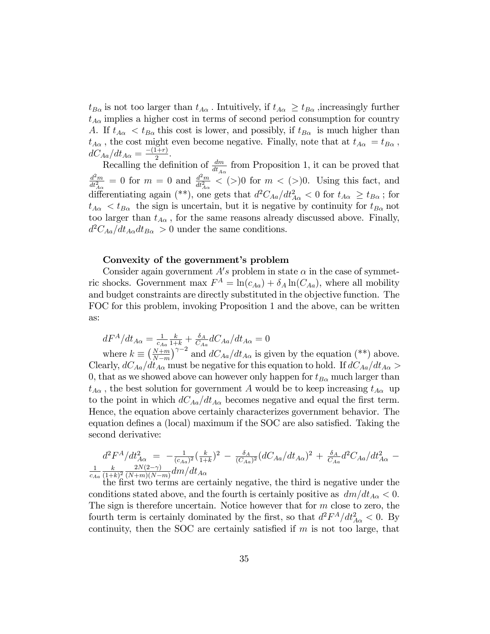$t_{B\alpha}$  is not too larger than  $t_{A\alpha}$ . Intuitively, if  $t_{A\alpha} \geq t_{B\alpha}$ , increasingly further  $t_{A\alpha}$  implies a higher cost in terms of second period consumption for country A. If  $t_{A\alpha} < t_{B\alpha}$  this cost is lower, and possibly, if  $t_{B\alpha}$  is much higher than  $t_{A\alpha}$ , the cost might even become negative. Finally, note that at  $t_{A\alpha} = t_{B\alpha}$ ,  $dC_{Aa}/dt_{A\alpha} = \frac{-(1+r)}{2}.$ 

Recalling the definition of  $\frac{dm}{dt_{A\alpha}}$  from Proposition 1, it can be proved that  $d^2m$  $\frac{d^2m}{dt^2_{A\alpha}}=0$  for  $m=0$  and  $\frac{d^2m}{dt^2_{A\alpha}}$  $\frac{d^2m}{dt_{A\alpha}^2} < (>)0$  for  $m < (>)0$ . Using this fact, and differentiating again (\*\*), one gets that  $d^2C_{Aa}/dt^2_{A\alpha} < 0$  for  $t_{A\alpha} \geq t_{B\alpha}$ ; for  $t_{A\alpha}$  <  $t_{B\alpha}$  the sign is uncertain, but it is negative by continuity for  $t_{B\alpha}$  not too larger than  $t_{A\alpha}$ , for the same reasons already discussed above. Finally,  $d^2C_{Aa}/dt_{A\alpha}dt_{B\alpha} > 0$  under the same conditions.

#### Convexity of the government's problem

Consider again government  $A's$  problem in state  $\alpha$  in the case of symmetric shocks. Government max  $F^A = \ln(c_{Aa}) + \delta_A \ln(C_{Aa})$ , where all mobility and budget constraints are directly substituted in the objective function. The FOC for this problem, invoking Proposition 1 and the above, can be written as:

 $dF^A/dt_{A\alpha} = \frac{1}{\epsilon_A}$  $c_{Aa}$  $\frac{k}{1+k}+\frac{\delta_A}{C_A}$  $\frac{\delta_A}{C_{Aa}} dC_{Aa}/dt_{A\alpha} = 0$ where  $k \equiv \left(\frac{N+m}{N-m}\right)$  $N-m$  $\int^{\gamma-2}$  and  $dC_{Aa}/dt_{A\alpha}$  is given by the equation (\*\*) above. Clearly,  $dC_{Aa}/dt_{A\alpha}$  must be negative for this equation to hold. If  $dC_{Aa}/dt_{A\alpha}$ 0, that as we showed above can however only happen for  $t_{B\alpha}$  much larger than  $t_{A\alpha}$ , the best solution for government A would be to keep increasing  $t_{A\alpha}$  up to the point in which  $dC_{Aa}/dt_{A\alpha}$  becomes negative and equal the first term. Hence, the equation above certainly characterizes government behavior. The equation defines a (local) maximum if the  $SOC$  are also satisfied. Taking the second derivative:

$$
d^2F^A/dt^2_{A\alpha} = -\frac{1}{(c_{Aa})^2} \left(\frac{k}{1+k}\right)^2 - \frac{\delta_A}{(C_{Aa})^2} (dC_{Aa}/dt_{A\alpha})^2 + \frac{\delta_A}{C_{Aa}} d^2C_{Aa}/dt^2_{A\alpha} - \frac{1}{(1+k)^2} \frac{k}{(N+m)(N-m)} dm/dt_{A\alpha}
$$

 $(1+k)^2 (N+m)(N-m)^{unifak}$  and  $N$  and  $N$  is negative, the third is negative under the the first two terms are certainly negative, the third is negative under the conditions stated above, and the fourth is certainly positive as  $dm/dt_{A\alpha} < 0$ . The sign is therefore uncertain. Notice however that for  $m$  close to zero, the fourth term is certainly dominated by the first, so that  $d^2F^A/dt^2_{A\alpha} < 0$ . By continuity, then the SOC are certainly satisfied if  $m$  is not too large, that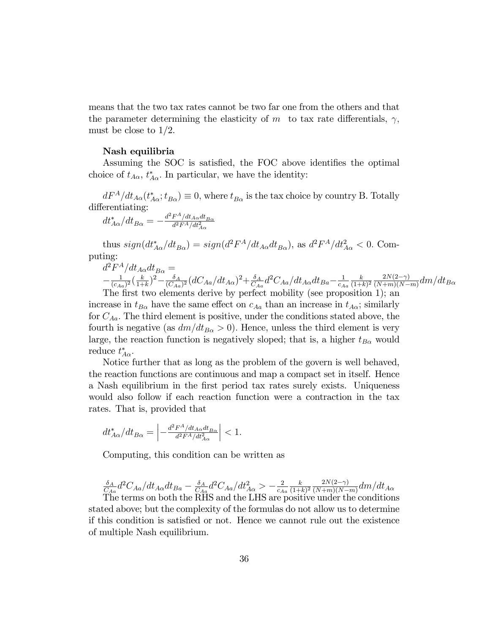means that the two tax rates cannot be two far one from the others and that the parameter determining the elasticity of m to tax rate differentials,  $\gamma$ , must be close to 1/2.

#### Nash equilibria

Assuming the SOC is satisfied, the FOC above identifies the optimal choice of  $t_{A\alpha}$ ,  $t_{A\alpha}^*$ . In particular, we have the identity:

 $dF^A/dt_{A\alpha}(t_{A\alpha}^*; t_{B\alpha}) \equiv 0$ , where  $t_{B\alpha}$  is the tax choice by country B. Totally differentiating:

$$
dt^*_{A\alpha}/dt_{B\alpha}=-\tfrac{d^2F^A/dt_{A\alpha}dt_{B\alpha}}{d^2F^A/dt^2_{A\alpha}}
$$

thus  $sign(dt_{A\alpha}^*/dt_{B\alpha}) = sign(d^2F^A/dt_{A\alpha}dt_{B\alpha})$ , as  $d^2F^A/dt_{A\alpha}^2 < 0$ . Computing:

$$
\begin{array}{l} \displaystyle d^2F^A/dt_{A\alpha}dt_{B\alpha} = \\ \displaystyle - \frac{1}{(c_{Aa})^2}(\frac{k}{1+k})^2 - \frac{\delta_A}{(C_{Aa})^2} (dC_{Aa}/dt_{A\alpha})^2 + \frac{\delta_A}{C_{Aa}} d^2C_{Aa}/dt_{A\alpha}dt_{Ba} - \frac{1}{c_{Aa}} \frac{k}{(1+k)^2} \frac{2N(2-\gamma)}{(N+m)(N-m)} dm/dt_{Ba} \end{array}
$$

The first two elements derive by perfect mobility (see proposition 1); an increase in  $t_{B\alpha}$  have the same effect on  $c_{Aa}$  than an increase in  $t_{A\alpha}$ ; similarly for  $C_{Aa}$ . The third element is positive, under the conditions stated above, the fourth is negative (as  $dm/dt_{B\alpha} > 0$ ). Hence, unless the third element is very large, the reaction function is negatively sloped; that is, a higher  $t_{B\alpha}$  would reduce  $t_{A\alpha}^*$ .

Notice further that as long as the problem of the govern is well behaved, the reaction functions are continuous and map a compact set in itself. Hence a Nash equilibrium in the Örst period tax rates surely exists. Uniqueness would also follow if each reaction function were a contraction in the tax rates. That is, provided that

$$
dt_{A\alpha}^*/dt_{B\alpha} = \left| -\frac{d^2 F^A/dt_{A\alpha} dt_{B\alpha}}{d^2 F^A/dt_{A\alpha}^2} \right| < 1.
$$

Computing, this condition can be written as

$$
\frac{\delta_A}{C_{Aa}}d^2C_{Aa}/dt_{A\alpha}dt_{Ba} - \frac{\delta_A}{C_{Aa}}d^2C_{Aa}/dt_{A\alpha}^2 > -\frac{2}{c_{Aa}}\frac{k}{(1+k)^2}\frac{2N(2-\gamma)}{(N+m)(N-m)}dm/dt_{A\alpha}
$$
  
The terms on both the RHS and the LHS are positive under the conditions

stated above; but the complexity of the formulas do not allow us to determine if this condition is satisfied or not. Hence we cannot rule out the existence of multiple Nash equilibrium.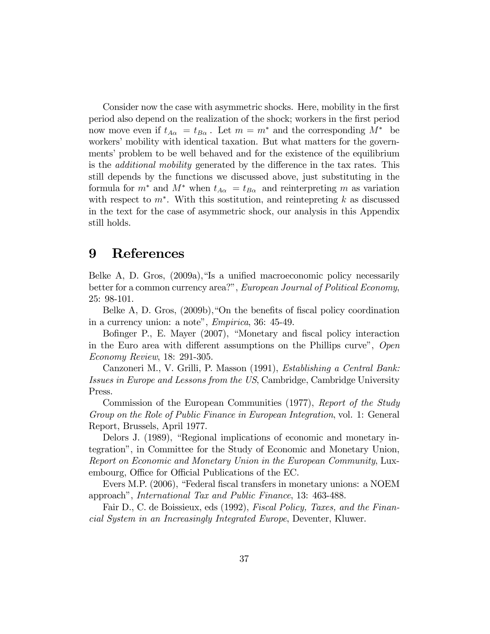Consider now the case with asymmetric shocks. Here, mobility in the first period also depend on the realization of the shock; workers in the Örst period now move even if  $t_{A\alpha} = t_{B\alpha}$ . Let  $m = m^*$  and the corresponding  $M^*$  be workers' mobility with identical taxation. But what matters for the governments' problem to be well behaved and for the existence of the equilibrium is the *additional mobility* generated by the difference in the tax rates. This still depends by the functions we discussed above, just substituting in the formula for  $m^*$  and  $M^*$  when  $t_{A\alpha} = t_{B\alpha}$  and reinterpreting m as variation with respect to  $m^*$ . With this sostitution, and reintepreting k as discussed in the text for the case of asymmetric shock, our analysis in this Appendix still holds.

### 9 References

Belke A, D. Gros,  $(2009a)$ , "Is a unified macroeconomic policy necessarily better for a common currency area?", European Journal of Political Economy, 25: 98-101.

Belke A, D. Gros,  $(2009b)$ ,  $\Omega$  the benefits of fiscal policy coordination in a currency union: a note",  $Empirica$ ,  $36: 45-49$ .

Bofinger P., E. Mayer (2007), "Monetary and fiscal policy interaction in the Euro area with different assumptions on the Phillips curve", Open Economy Review, 18: 291-305.

Canzoneri M., V. Grilli, P. Masson (1991), Establishing a Central Bank: Issues in Europe and Lessons from the US, Cambridge, Cambridge University Press.

Commission of the European Communities (1977), Report of the Study Group on the Role of Public Finance in European Integration, vol. 1: General Report, Brussels, April 1977.

Delors J. (1989), "Regional implications of economic and monetary integrationî, in Committee for the Study of Economic and Monetary Union, Report on Economic and Monetary Union in the European Community, Luxembourg, Office for Official Publications of the EC.

Evers M.P. (2006), "Federal fiscal transfers in monetary unions: a NOEM approach", *International Tax and Public Finance*, 13: 463-488.

Fair D., C. de Boissieux, eds (1992), Fiscal Policy, Taxes, and the Financial System in an Increasingly Integrated Europe, Deventer, Kluwer.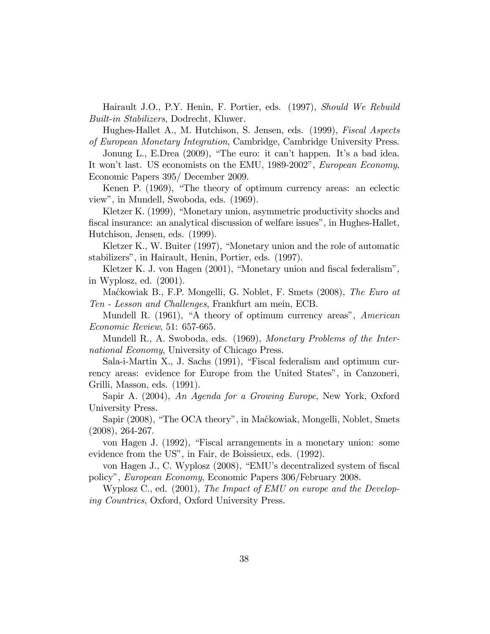Hairault J.O., P.Y. Henin, F. Portier, eds. (1997), Should We Rebuild Built-in Stabilizers, Dodrecht, Kluwer.

Hughes-Hallet A., M. Hutchison, S. Jensen, eds. (1999), *Fiscal Aspects* of European Monetary Integration, Cambridge, Cambridge University Press.

Jonung L., E.Drea (2009), "The euro: it can't happen. It's a bad idea. It won't last. US economists on the EMU, 1989-2002", European Economy, Economic Papers 395/ December 2009.

Kenen P. (1969), "The theory of optimum currency areas: an eclectic viewî, in Mundell, Swoboda, eds. (1969).

Kletzer K. (1999), "Monetary union, asymmetric productivity shocks and fiscal insurance: an analytical discussion of welfare issues", in Hughes-Hallet, Hutchison, Jensen, eds. (1999).

Kletzer K., W. Buiter (1997), "Monetary union and the role of automatic stabilizers", in Hairault, Henin, Portier, eds. (1997).

Kletzer K. J. von Hagen (2001), "Monetary union and fiscal federalism", in Wyplosz, ed. (2001).

Maćkowiak B., F.P. Mongelli, G. Noblet, F. Smets (2008), The Euro at Ten - Lesson and Challenges, Frankfurt am mein, ECB.

Mundell R. (1961), "A theory of optimum currency areas", American Economic Review, 51: 657-665.

Mundell R., A. Swoboda, eds. (1969), Monetary Problems of the International Economy, University of Chicago Press.

Sala-i-Martin X., J. Sachs  $(1991)$ , "Fiscal federalism and optimum currency areas: evidence for Europe from the United States", in Canzoneri, Grilli, Masson, eds. (1991).

Sapir A. (2004), An Agenda for a Growing Europe, New York, Oxford University Press.

Sapir (2008), "The OCA theory", in Maćkowiak, Mongelli, Noblet, Smets (2008), 264-267.

von Hagen J. (1992), "Fiscal arrangements in a monetary union: some evidence from the US", in Fair, de Boissieux, eds. (1992).

von Hagen J., C. Wyplosz (2008), "EMU's decentralized system of fiscal policyî, European Economy, Economic Papers 306/February 2008.

Wyplosz C., ed. (2001), The Impact of EMU on europe and the Developing Countries, Oxford, Oxford University Press.